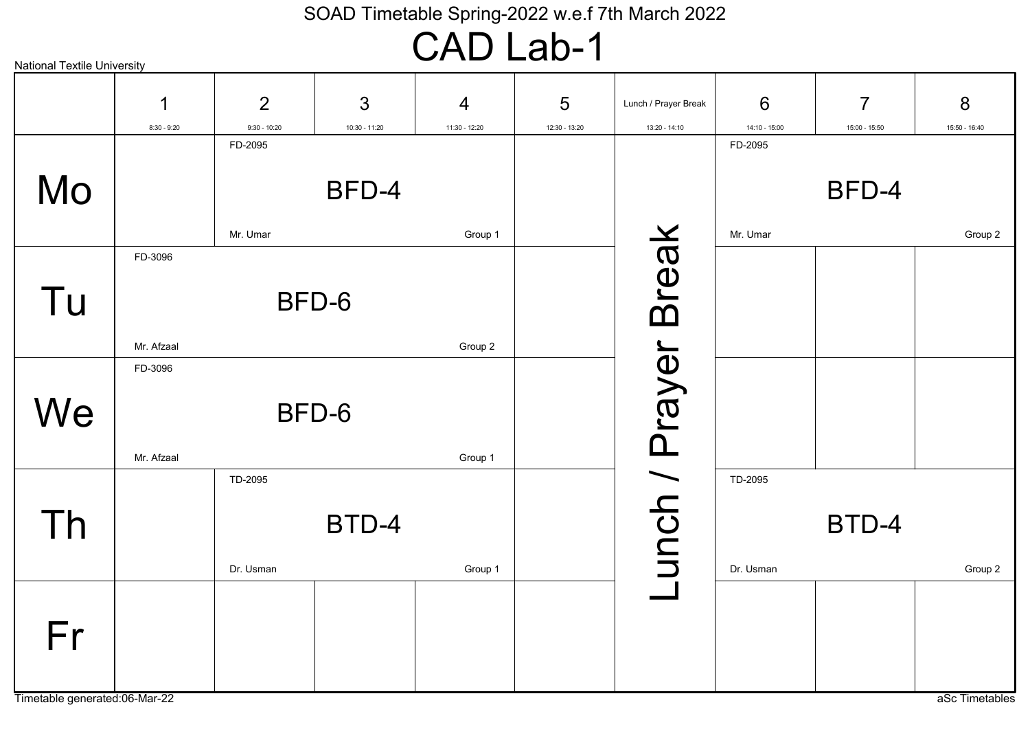### CAD Lab-1

| <b>National Textile University</b> |               |                |                 |                |               |                      |                 |                |                |
|------------------------------------|---------------|----------------|-----------------|----------------|---------------|----------------------|-----------------|----------------|----------------|
|                                    | 1             | $\overline{2}$ | 3               | $\overline{4}$ | 5             | Lunch / Prayer Break | 6               | $\overline{7}$ | 8              |
|                                    | $8:30 - 9:20$ | $9:30 - 10:20$ | $10:30 - 11:20$ | 11:30 - 12:20  | 12:30 - 13:20 | 13:20 - 14:10        | $14:10 - 15:00$ | 15:00 - 15:50  | 15:50 - 16:40  |
|                                    |               | FD-2095        |                 |                |               |                      | FD-2095         |                |                |
| Mo                                 |               |                | BFD-4           |                |               |                      |                 | BFD-4          |                |
|                                    |               | Mr. Umar       |                 | Group 1        |               |                      | Mr. Umar        |                | Group 2        |
| Tu                                 | FD-3096       | BFD-6          |                 |                |               | <b>Break</b>         |                 |                |                |
|                                    | Mr. Afzaal    |                |                 | Group 2        |               |                      |                 |                |                |
|                                    | FD-3096       |                |                 |                |               |                      |                 |                |                |
| We                                 | Mr. Afzaal    | BFD-6          |                 | Group 1        |               | unch / Prayer        |                 |                |                |
|                                    |               | TD-2095        |                 |                |               |                      | TD-2095         |                |                |
| Th                                 |               | Dr. Usman      | BTD-4           | Group 1        |               |                      | Dr. Usman       | BTD-4          | Group 2        |
| Fr                                 |               |                |                 |                |               |                      |                 |                |                |
| Timetable generated:06-Mar-22      |               |                |                 |                |               |                      |                 |                | aSc Timetables |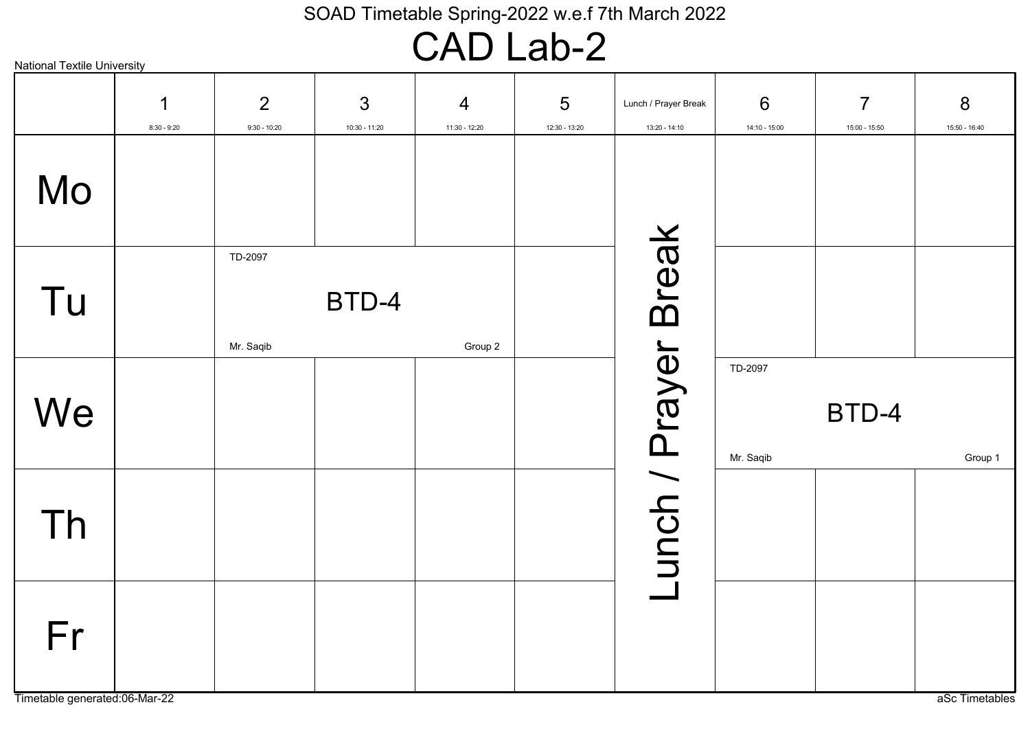### CAD Lab-2

|    | $\mathbf 1$<br>$8:30 - 9:20$ | 2<br>$9:30 - 10:20$  | 3<br>10:30 - 11:20 | $\overline{4}$<br>11:30 - 12:20 | 5<br>12:30 - 13:20 | Lunch / Prayer Break<br>13:20 - 14:10 | 6<br>14:10 - 15:00   | $\overline{7}$<br>15:00 - 15:50 | 8<br>15:50 - 16:40 |
|----|------------------------------|----------------------|--------------------|---------------------------------|--------------------|---------------------------------------|----------------------|---------------------------------|--------------------|
| Mo |                              |                      |                    |                                 |                    |                                       |                      |                                 |                    |
| Tu |                              | TD-2097<br>Mr. Saqib | BTD-4              | Group 2                         |                    |                                       |                      |                                 |                    |
| We |                              |                      |                    |                                 |                    |                                       | TD-2097<br>Mr. Saqib | BTD-4                           | Group 1            |
| Th |                              |                      |                    |                                 |                    | Lunch / Prayer Break                  |                      |                                 |                    |
| Fr |                              |                      |                    |                                 |                    |                                       |                      |                                 |                    |

National Textile University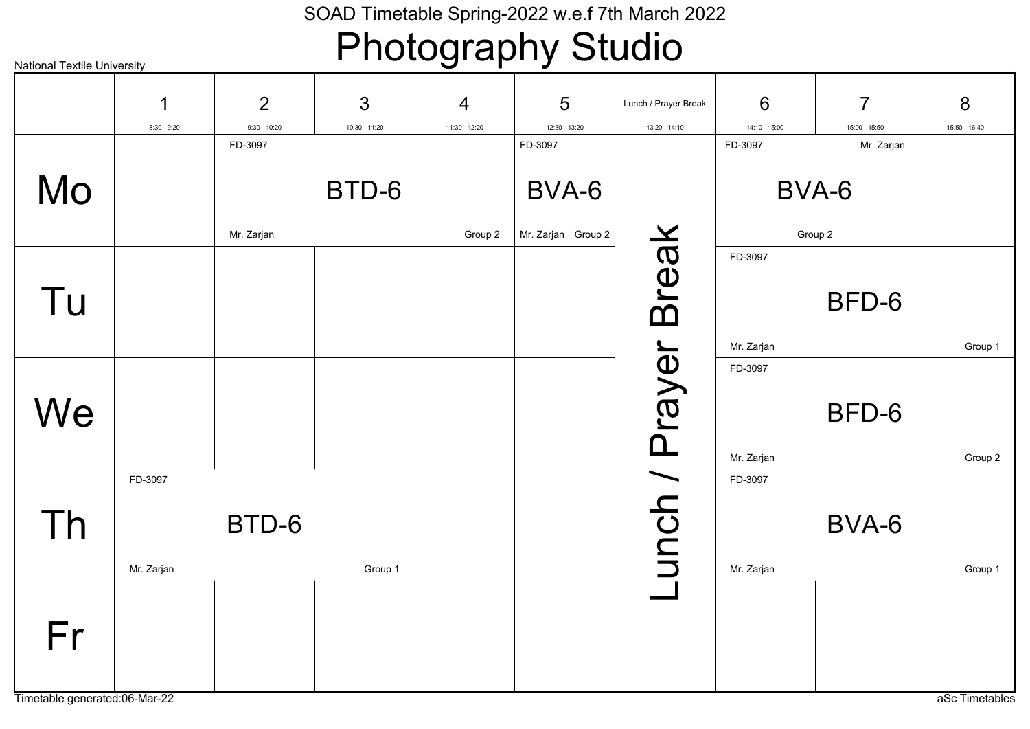# Photography Studio

| <b>National Textile University</b> |               |                |               | $\cdots$      |                    |                      |                 |                |                |
|------------------------------------|---------------|----------------|---------------|---------------|--------------------|----------------------|-----------------|----------------|----------------|
|                                    | 1             | $\overline{2}$ | 3             | 4             | 5                  | Lunch / Prayer Break | 6               | $\overline{7}$ | 8              |
|                                    | $8:30 - 9:20$ | $9:30 - 10:20$ | 10:30 - 11:20 | 11:30 - 12:20 | 12:30 - 13:20      | 13:20 - 14:10        | $14:10 - 15:00$ | 15:00 - 15:50  | 15:50 - 16:40  |
|                                    |               | FD-3097        |               |               | FD-3097            |                      | FD-3097         | Mr. Zarjan     |                |
| Mo                                 |               |                | BTD-6         |               | BVA-6              |                      |                 | BVA-6          |                |
|                                    |               | Mr. Zarjan     |               | Group 2       | Mr. Zarjan Group 2 |                      |                 | Group 2        |                |
|                                    |               |                |               |               |                    | <b>Break</b>         | FD-3097         |                |                |
| Tu                                 |               |                |               |               |                    |                      |                 | BFD-6          |                |
|                                    |               |                |               |               |                    |                      | Mr. Zarjan      |                | Group 1        |
|                                    |               |                |               |               |                    |                      | FD-3097         |                |                |
|                                    |               |                |               |               |                    |                      |                 |                |                |
| We                                 |               |                |               |               |                    |                      |                 | BFD-6          |                |
|                                    |               |                |               |               |                    |                      |                 |                |                |
|                                    |               |                |               |               |                    |                      | Mr. Zarjan      |                | Group 2        |
|                                    | FD-3097       |                |               |               |                    |                      | FD-3097         |                |                |
| Th                                 |               | BTD-6          |               |               |                    |                      |                 | BVA-6          |                |
|                                    |               |                |               |               |                    |                      |                 |                |                |
|                                    | Mr. Zarjan    |                | Group 1       |               |                    | unch / Prayer        | Mr. Zarjan      |                | Group 1        |
|                                    |               |                |               |               |                    |                      |                 |                |                |
| Fr                                 |               |                |               |               |                    |                      |                 |                |                |
|                                    |               |                |               |               |                    |                      |                 |                |                |
|                                    |               |                |               |               |                    |                      |                 |                |                |
| Timetable generated:06-Mar-22      |               |                |               |               |                    |                      |                 |                | aSc Timetables |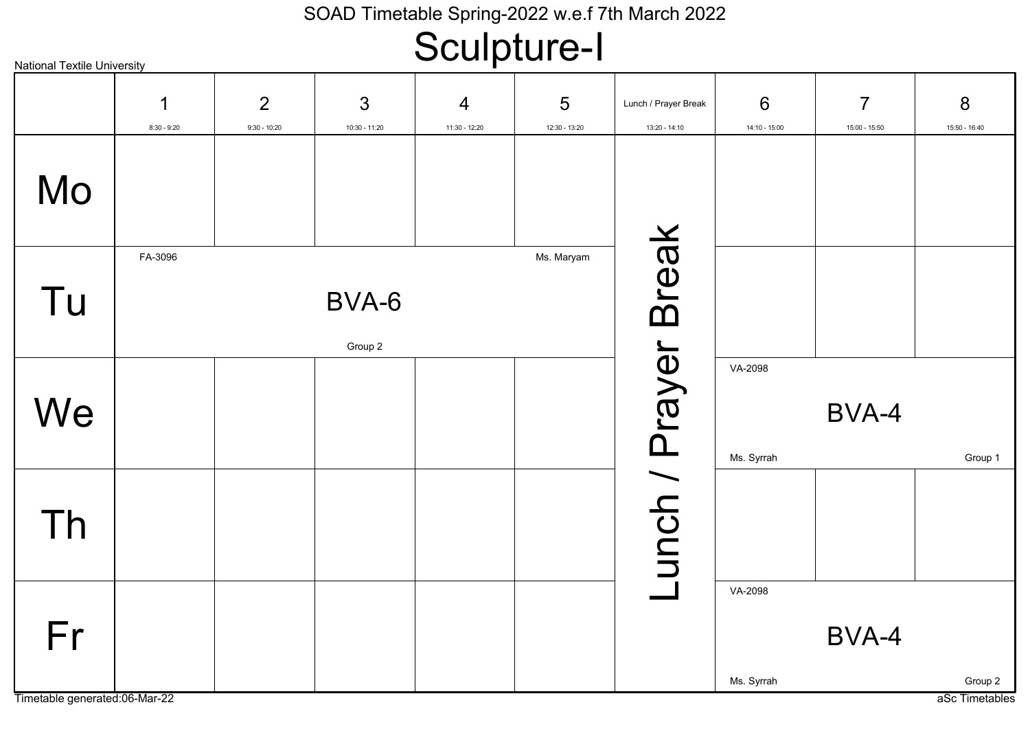# Sculpture-I

| <b>National Textile University</b> |                    |                                  |                    |                    | $\mathbf{r}$       |                                       |                       |                                 |                    |
|------------------------------------|--------------------|----------------------------------|--------------------|--------------------|--------------------|---------------------------------------|-----------------------|---------------------------------|--------------------|
|                                    | 1<br>$8:30 - 9:20$ | $\overline{2}$<br>$9:30 - 10:20$ | 3<br>10:30 - 11:20 | 4<br>11:30 - 12:20 | 5<br>12:30 - 13:20 | Lunch / Prayer Break<br>13:20 - 14:10 | 6<br>14:10 - 15:00    | $\overline{7}$<br>15:00 - 15:50 | 8<br>15:50 - 16:40 |
| Mo                                 |                    |                                  |                    |                    |                    |                                       |                       |                                 |                    |
| Tu                                 | FA-3096            |                                  | BVA-6<br>Group 2   |                    | Ms. Maryam         | <b>Break</b>                          |                       |                                 |                    |
| We                                 |                    |                                  |                    |                    |                    |                                       | VA-2098<br>Ms. Syrrah | BVA-4                           | Group 1            |
| Th                                 |                    |                                  |                    |                    |                    | unch / Prayer                         |                       |                                 |                    |
| Fr                                 |                    |                                  |                    |                    |                    |                                       | VA-2098<br>Ms. Syrrah | BVA-4                           | Group 2            |
| Timetable generated:06-Mar-22      |                    |                                  |                    |                    |                    |                                       |                       |                                 | aSc Timetables     |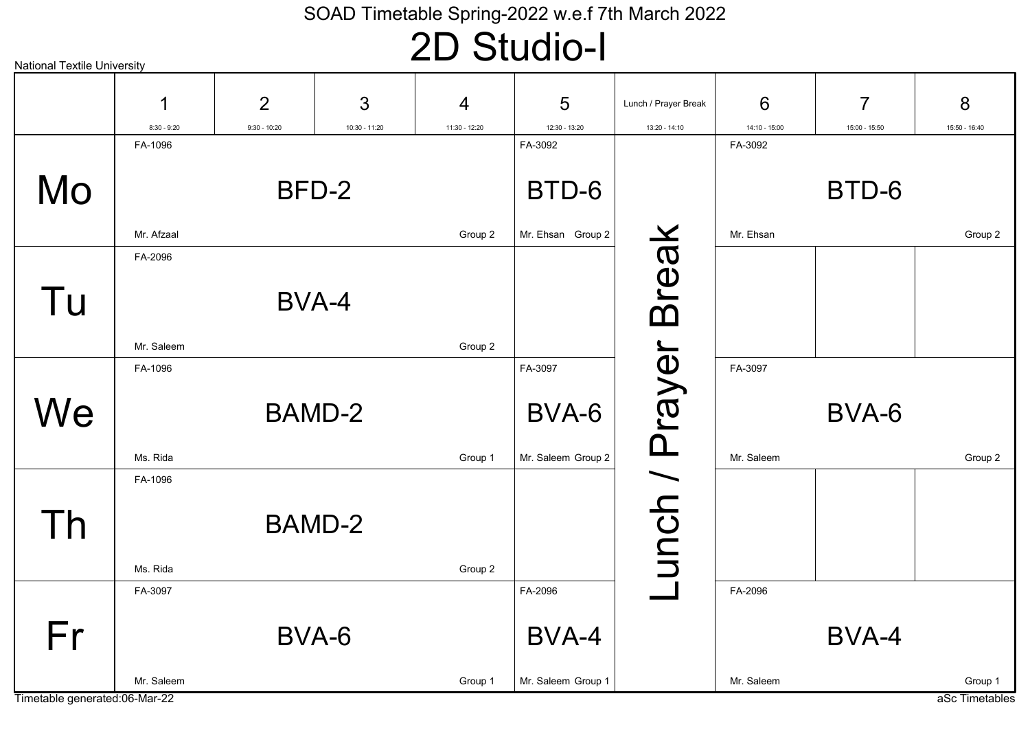# 2D Studio-I

| 3<br>$\overline{2}$<br>5<br>$\overline{7}$<br>8<br>6<br>4<br>1<br>Lunch / Prayer Break<br>12:30 - 13:20<br>13:20 - 14:10<br>$8:30 - 9:20$<br>$9:30 - 10:20$<br>10:30 - 11:20<br>11:30 - 12:20<br>14:10 - 15:00<br>15:50 - 16:40<br>15:00 - 15:50<br>FA-1096<br>FA-3092<br>FA-3092<br>Mo<br>BTD-6<br>BFD-2<br>BTD-6<br><b>Break</b><br>Mr. Ehsan Group 2<br>Mr. Ehsan<br>Mr. Afzaal<br>Group 2<br>Group 2<br>FA-2096<br>Tu<br>BVA-4<br>unch / Prayer<br>Mr. Saleem<br>Group 2<br>FA-3097<br>FA-1096<br>FA-3097<br>We<br><b>BAMD-2</b><br>BVA-6<br>BVA-6<br>Mr. Saleem Group 2<br>Ms. Rida<br>Group 1<br>Mr. Saleem<br>Group 2<br>FA-1096<br>Th<br>BAMD-2<br>Ms. Rida<br>Group 2<br>FA-2096<br>FA-2096<br>FA-3097<br>Fr<br>BVA-6<br>BVA-4<br>BVA-4 | <b>National Textile University</b> |  |  |                    |  |                |
|--------------------------------------------------------------------------------------------------------------------------------------------------------------------------------------------------------------------------------------------------------------------------------------------------------------------------------------------------------------------------------------------------------------------------------------------------------------------------------------------------------------------------------------------------------------------------------------------------------------------------------------------------------------------------------------------------------------------------------------------------|------------------------------------|--|--|--------------------|--|----------------|
|                                                                                                                                                                                                                                                                                                                                                                                                                                                                                                                                                                                                                                                                                                                                                  |                                    |  |  |                    |  |                |
|                                                                                                                                                                                                                                                                                                                                                                                                                                                                                                                                                                                                                                                                                                                                                  |                                    |  |  |                    |  |                |
|                                                                                                                                                                                                                                                                                                                                                                                                                                                                                                                                                                                                                                                                                                                                                  |                                    |  |  |                    |  |                |
|                                                                                                                                                                                                                                                                                                                                                                                                                                                                                                                                                                                                                                                                                                                                                  |                                    |  |  |                    |  |                |
|                                                                                                                                                                                                                                                                                                                                                                                                                                                                                                                                                                                                                                                                                                                                                  |                                    |  |  |                    |  |                |
|                                                                                                                                                                                                                                                                                                                                                                                                                                                                                                                                                                                                                                                                                                                                                  |                                    |  |  |                    |  |                |
|                                                                                                                                                                                                                                                                                                                                                                                                                                                                                                                                                                                                                                                                                                                                                  |                                    |  |  |                    |  |                |
|                                                                                                                                                                                                                                                                                                                                                                                                                                                                                                                                                                                                                                                                                                                                                  |                                    |  |  |                    |  |                |
|                                                                                                                                                                                                                                                                                                                                                                                                                                                                                                                                                                                                                                                                                                                                                  |                                    |  |  |                    |  |                |
|                                                                                                                                                                                                                                                                                                                                                                                                                                                                                                                                                                                                                                                                                                                                                  |                                    |  |  |                    |  |                |
|                                                                                                                                                                                                                                                                                                                                                                                                                                                                                                                                                                                                                                                                                                                                                  |                                    |  |  |                    |  |                |
|                                                                                                                                                                                                                                                                                                                                                                                                                                                                                                                                                                                                                                                                                                                                                  |                                    |  |  |                    |  |                |
|                                                                                                                                                                                                                                                                                                                                                                                                                                                                                                                                                                                                                                                                                                                                                  |                                    |  |  |                    |  |                |
|                                                                                                                                                                                                                                                                                                                                                                                                                                                                                                                                                                                                                                                                                                                                                  |                                    |  |  |                    |  |                |
|                                                                                                                                                                                                                                                                                                                                                                                                                                                                                                                                                                                                                                                                                                                                                  |                                    |  |  |                    |  |                |
|                                                                                                                                                                                                                                                                                                                                                                                                                                                                                                                                                                                                                                                                                                                                                  |                                    |  |  |                    |  |                |
| Mr. Saleem<br>Group 1<br>Group 1<br>Mr. Saleem<br>Timetable generated:06-Mar-22                                                                                                                                                                                                                                                                                                                                                                                                                                                                                                                                                                                                                                                                  |                                    |  |  | Mr. Saleem Group 1 |  | aSc Timetables |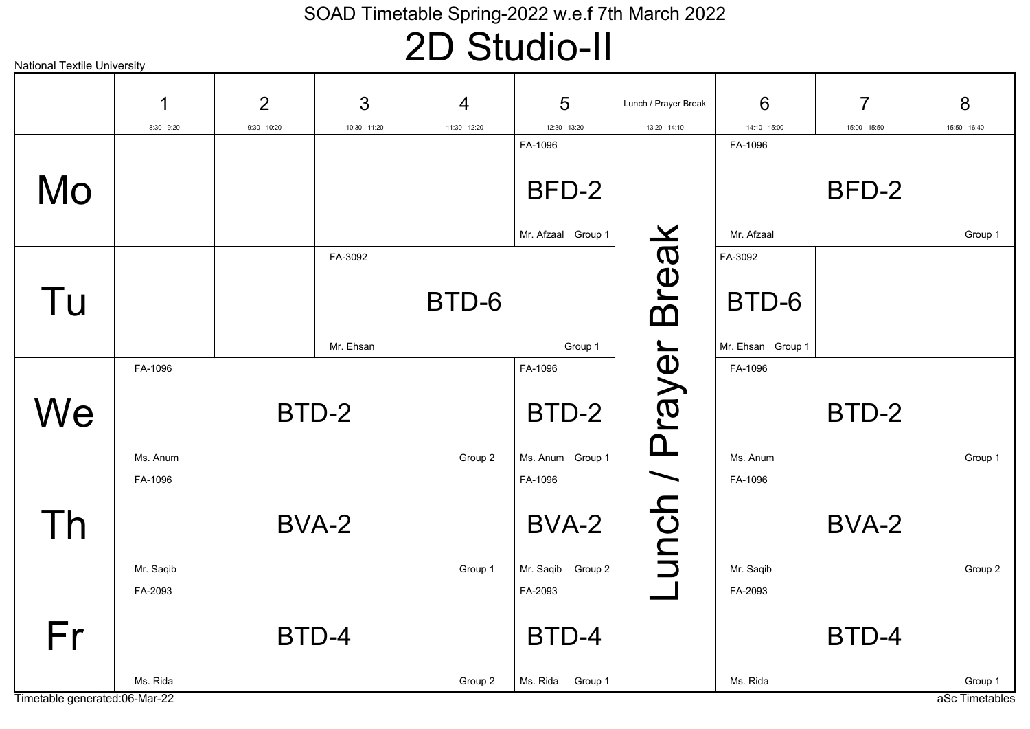# 2D Studio-II

| <b>National Textile University</b> |                    |                                  |                      |                    | $\sim$                      |                                       |                    |                                 |                           |
|------------------------------------|--------------------|----------------------------------|----------------------|--------------------|-----------------------------|---------------------------------------|--------------------|---------------------------------|---------------------------|
|                                    | 1<br>$8:30 - 9:20$ | $\overline{2}$<br>$9:30 - 10:20$ | 3<br>$10:30 - 11:20$ | 4<br>11:30 - 12:20 | 5<br>12:30 - 13:20          | Lunch / Prayer Break<br>13:20 - 14:10 | 6<br>14:10 - 15:00 | $\overline{7}$<br>15:00 - 15:50 | 8<br>15:50 - 16:40        |
|                                    |                    |                                  |                      |                    | FA-1096                     |                                       | FA-1096            |                                 |                           |
| Mo                                 |                    |                                  |                      |                    | BFD-2<br>Mr. Afzaal Group 1 |                                       | Mr. Afzaal         | BFD-2                           | Group 1                   |
|                                    |                    |                                  |                      |                    |                             |                                       |                    |                                 |                           |
| Tu                                 |                    |                                  | FA-3092              | BTD-6              |                             | <b>Break</b>                          | FA-3092<br>BTD-6   |                                 |                           |
|                                    |                    |                                  | Mr. Ehsan            |                    | Group 1                     |                                       | Mr. Ehsan Group 1  |                                 |                           |
|                                    | FA-1096            |                                  |                      |                    | FA-1096                     |                                       | FA-1096            |                                 |                           |
| We                                 |                    | BTD-2                            |                      |                    | BTD-2                       |                                       |                    | BTD-2                           |                           |
|                                    | Ms. Anum           |                                  |                      | Group 2            | Ms. Anum Group 1            |                                       | Ms. Anum           |                                 | Group 1                   |
|                                    | FA-1096            |                                  |                      |                    | FA-1096                     |                                       | FA-1096            |                                 |                           |
| Th                                 |                    | BVA-2                            |                      |                    | BVA-2                       | unch / Prayer                         |                    | BVA-2                           |                           |
|                                    | Mr. Saqib          |                                  |                      | Group 1            | Mr. Saqib Group 2           |                                       | Mr. Saqib          |                                 | Group 2                   |
|                                    | FA-2093            |                                  |                      |                    | FA-2093                     |                                       | FA-2093            |                                 |                           |
| Fr                                 |                    | BTD-4                            |                      |                    | BTD-4                       |                                       |                    | BTD-4                           |                           |
| Timetable generated:06-Mar-22      | Ms. Rida           |                                  |                      | Group 2            | Ms. Rida<br>Group 1         |                                       | Ms. Rida           |                                 | Group 1<br>aSc Timetables |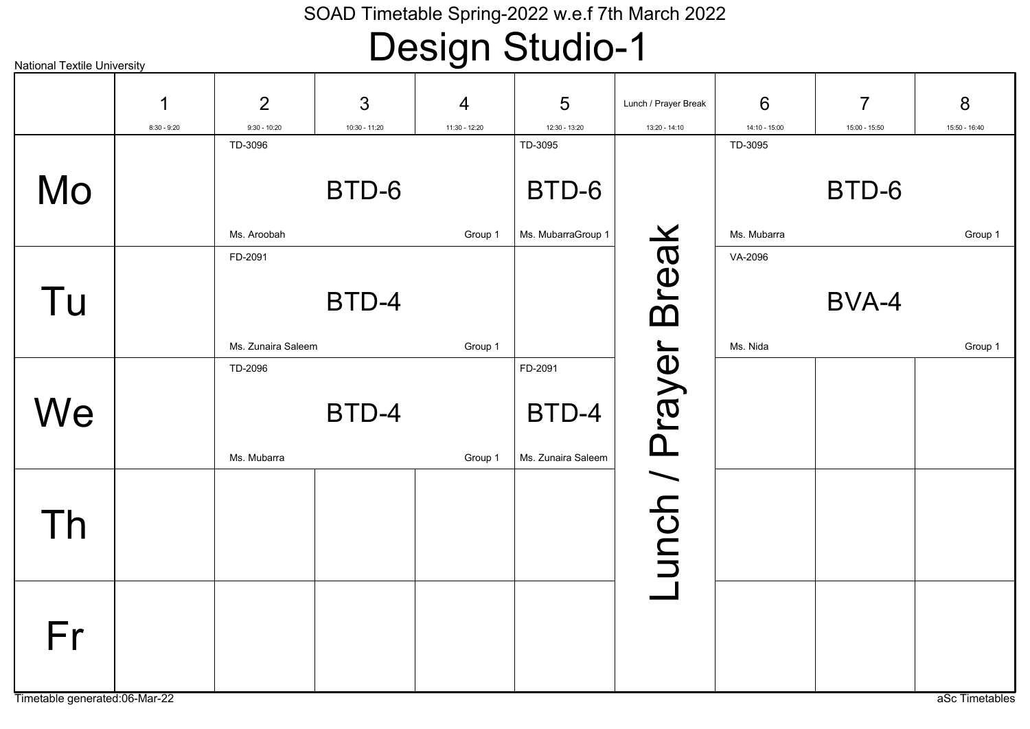| <b>National Textile University</b>  |               |                    |               | <u>. ລ. .</u> |                             |                      |               |                |                |
|-------------------------------------|---------------|--------------------|---------------|---------------|-----------------------------|----------------------|---------------|----------------|----------------|
|                                     | 1             | 2                  | 3             | 4             | $5\phantom{.0}$             | Lunch / Prayer Break | 6             | $\overline{7}$ | 8              |
|                                     | $8:30 - 9:20$ | $9:30 - 10:20$     | 10:30 - 11:20 | 11:30 - 12:20 | 12:30 - 13:20               | 13:20 - 14:10        | 14:10 - 15:00 | 15:00 - 15:50  | 15:50 - 16:40  |
|                                     |               | TD-3096            |               |               | TD-3095                     |                      | TD-3095       |                |                |
| Mo                                  |               |                    | BTD-6         |               | BTD-6                       |                      |               | BTD-6          |                |
|                                     |               | Ms. Aroobah        |               | Group 1       | Ms. MubarraGroup 1          |                      | Ms. Mubarra   |                | Group 1        |
| Tu                                  |               | FD-2091            | BTD-4         |               |                             | <b>Break</b>         | VA-2096       | BVA-4          |                |
|                                     |               | Ms. Zunaira Saleem |               | Group 1       |                             |                      | Ms. Nida      |                | Group 1        |
|                                     |               | TD-2096            |               |               | FD-2091                     |                      |               |                |                |
| We                                  |               | Ms. Mubarra        | BTD-4         | Group 1       | BTD-4<br>Ms. Zunaira Saleem |                      |               |                |                |
| Th                                  |               |                    |               |               |                             | unch / Prayer        |               |                |                |
| Fr<br>Timetable generated:06-Mar-22 |               |                    |               |               |                             |                      |               |                | aSc Timetables |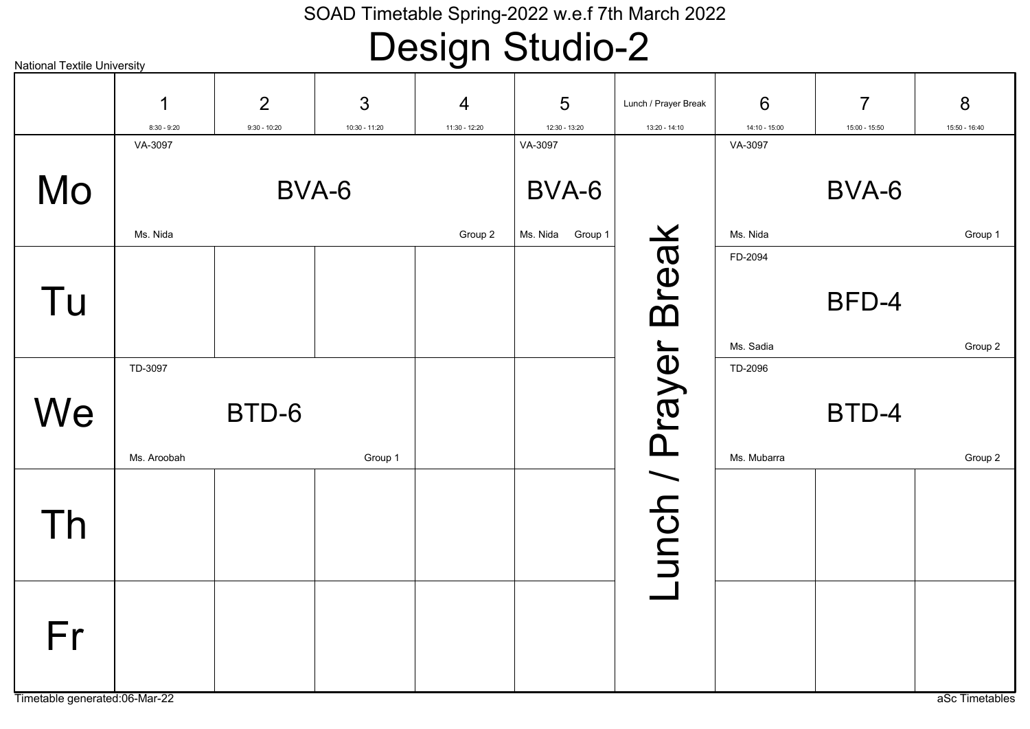| <b>National Textile University</b>  |                          |                                  |               | $\cup$             |                    |                                       |                        |                |                    |
|-------------------------------------|--------------------------|----------------------------------|---------------|--------------------|--------------------|---------------------------------------|------------------------|----------------|--------------------|
|                                     | ◀                        | $\overline{2}$<br>$9:30 - 10:20$ | 3             | 4<br>11:30 - 12:20 | 5<br>12:30 - 13:20 | Lunch / Prayer Break<br>13:20 - 14:10 | 6<br>14:10 - 15:00     | $\overline{7}$ | 8<br>15:50 - 16:40 |
|                                     | $8:30 - 9:20$<br>VA-3097 |                                  | 10:30 - 11:20 |                    | VA-3097            |                                       | VA-3097                | 15:00 - 15:50  |                    |
| Mo                                  |                          | BVA-6                            |               |                    | BVA-6              |                                       |                        | BVA-6          |                    |
|                                     | Ms. Nida                 |                                  |               | Group 2            | Ms. Nida Group 1   |                                       | Ms. Nida               |                | Group 1            |
| Tu                                  |                          |                                  |               |                    |                    | <b>Break</b>                          | FD-2094                | BFD-4          |                    |
|                                     |                          |                                  |               |                    |                    |                                       | Ms. Sadia              |                | Group 2            |
| We                                  | TD-3097<br>Ms. Aroobah   | BTD-6                            | Group 1       |                    |                    |                                       | TD-2096<br>Ms. Mubarra | BTD-4          | Group 2            |
| Th                                  |                          |                                  |               |                    |                    | unch / Prayer                         |                        |                |                    |
| Fr<br>Timetable generated:06-Mar-22 |                          |                                  |               |                    |                    |                                       |                        |                | aSc Timetables     |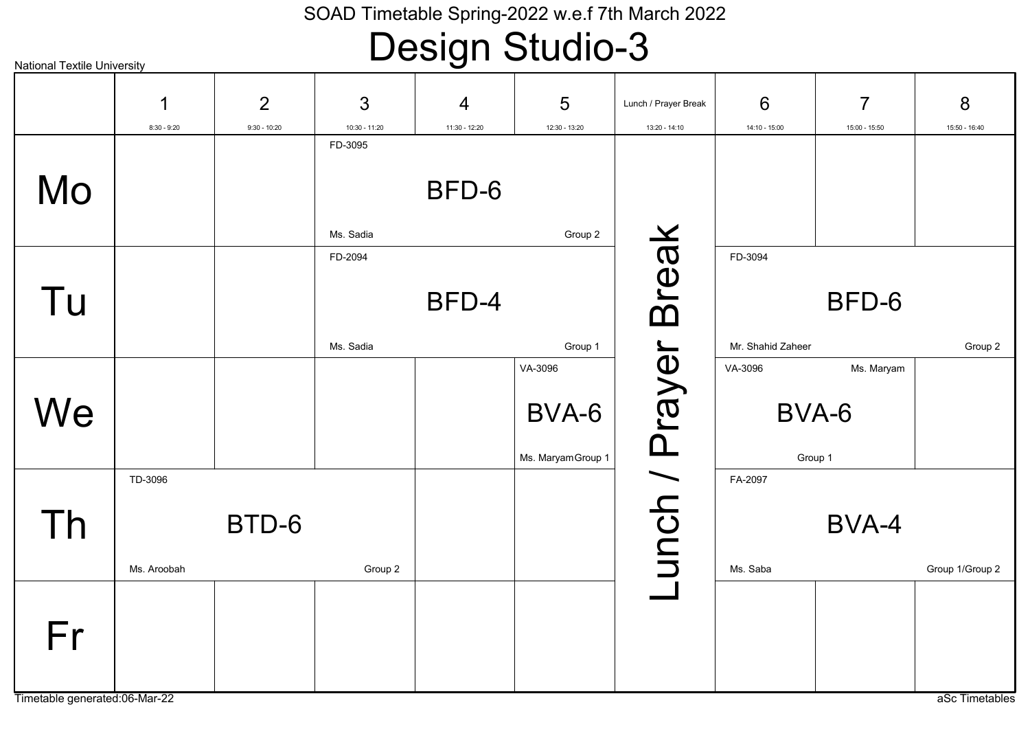| <b>National Textile University</b> |               |                |               |               |                    |                      |                   |                |                 |
|------------------------------------|---------------|----------------|---------------|---------------|--------------------|----------------------|-------------------|----------------|-----------------|
|                                    | 1             | $\overline{2}$ | 3             | 4             | 5                  | Lunch / Prayer Break | 6                 | $\overline{7}$ | 8               |
|                                    | $8:30 - 9:20$ | $9:30 - 10:20$ | 10:30 - 11:20 | 11:30 - 12:20 | 12:30 - 13:20      | 13:20 - 14:10        | 14:10 - 15:00     | 15:00 - 15:50  | 15:50 - 16:40   |
|                                    |               |                | FD-3095       |               |                    |                      |                   |                |                 |
| Mo                                 |               |                |               | BFD-6         |                    |                      |                   |                |                 |
|                                    |               |                | Ms. Sadia     |               | Group 2            |                      |                   |                |                 |
|                                    |               |                | FD-2094       |               |                    | <b>Break</b>         | FD-3094           |                |                 |
| Tu                                 |               |                |               | BFD-4         |                    |                      |                   | BFD-6          |                 |
|                                    |               |                | Ms. Sadia     |               | Group 1            |                      | Mr. Shahid Zaheer |                | Group 2         |
|                                    |               |                |               |               | VA-3096            |                      | VA-3096           | Ms. Maryam     |                 |
| We                                 |               |                |               |               | BVA-6              |                      | BVA-6             |                |                 |
|                                    |               |                |               |               | Ms. Maryam Group 1 |                      | Group 1           |                |                 |
|                                    | TD-3096       |                |               |               |                    |                      | FA-2097           |                |                 |
| Th                                 |               | BTD-6          |               |               |                    | unch / Prayer        |                   | BVA-4          |                 |
|                                    | Ms. Aroobah   |                | Group 2       |               |                    |                      | Ms. Saba          |                | Group 1/Group 2 |
| Fr                                 |               |                |               |               |                    |                      |                   |                |                 |
| Timetable generated:06-Mar-22      |               |                |               |               |                    |                      |                   |                | aSc Timetables  |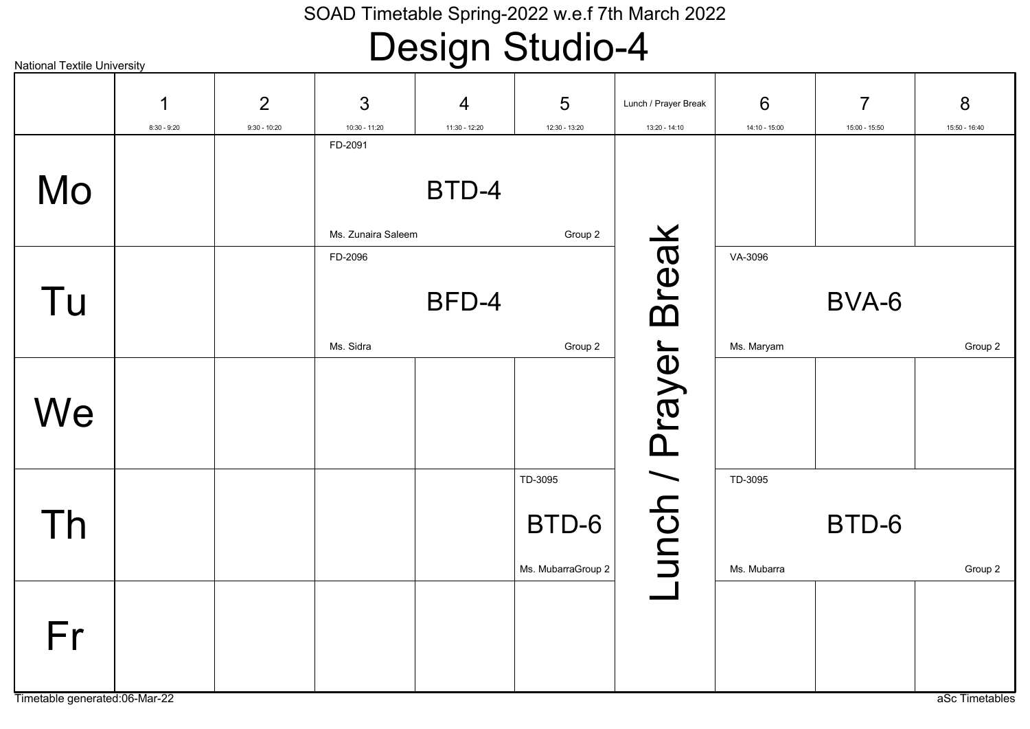| <b>National Textile University</b> |               |                |                    |                |                    |                      |               |                |                |
|------------------------------------|---------------|----------------|--------------------|----------------|--------------------|----------------------|---------------|----------------|----------------|
|                                    | 1             | $\overline{2}$ | 3                  | $\overline{4}$ | 5                  | Lunch / Prayer Break | 6             | $\overline{7}$ | 8              |
|                                    | $8:30 - 9:20$ | $9:30 - 10:20$ | $10:30 - 11:20$    | 11:30 - 12:20  | 12:30 - 13:20      | 13:20 - 14:10        | 14:10 - 15:00 | 15:00 - 15:50  | 15:50 - 16:40  |
| Mo                                 |               |                | FD-2091            | BTD-4          |                    |                      |               |                |                |
|                                    |               |                |                    |                |                    |                      |               |                |                |
|                                    |               |                | Ms. Zunaira Saleem |                | Group 2            |                      |               |                |                |
|                                    |               |                | FD-2096            |                |                    | <b>Break</b>         | VA-3096       |                |                |
| Tu                                 |               |                |                    | BFD-4          |                    |                      |               | BVA-6          |                |
|                                    |               |                | Ms. Sidra          |                | Group 2            |                      | Ms. Maryam    |                | Group 2        |
|                                    |               |                |                    |                |                    | unch / Prayer        |               |                |                |
| We                                 |               |                |                    |                |                    |                      |               |                |                |
|                                    |               |                |                    |                |                    |                      |               |                |                |
|                                    |               |                |                    |                | TD-3095            |                      | TD-3095       |                |                |
| Th                                 |               |                |                    |                | BTD-6              |                      |               | BTD-6          |                |
|                                    |               |                |                    |                | Ms. MubarraGroup 2 |                      | Ms. Mubarra   |                | Group 2        |
|                                    |               |                |                    |                |                    |                      |               |                |                |
| Fr                                 |               |                |                    |                |                    |                      |               |                |                |
| Timetable generated:06-Mar-22      |               |                |                    |                |                    |                      |               |                | aSc Timetables |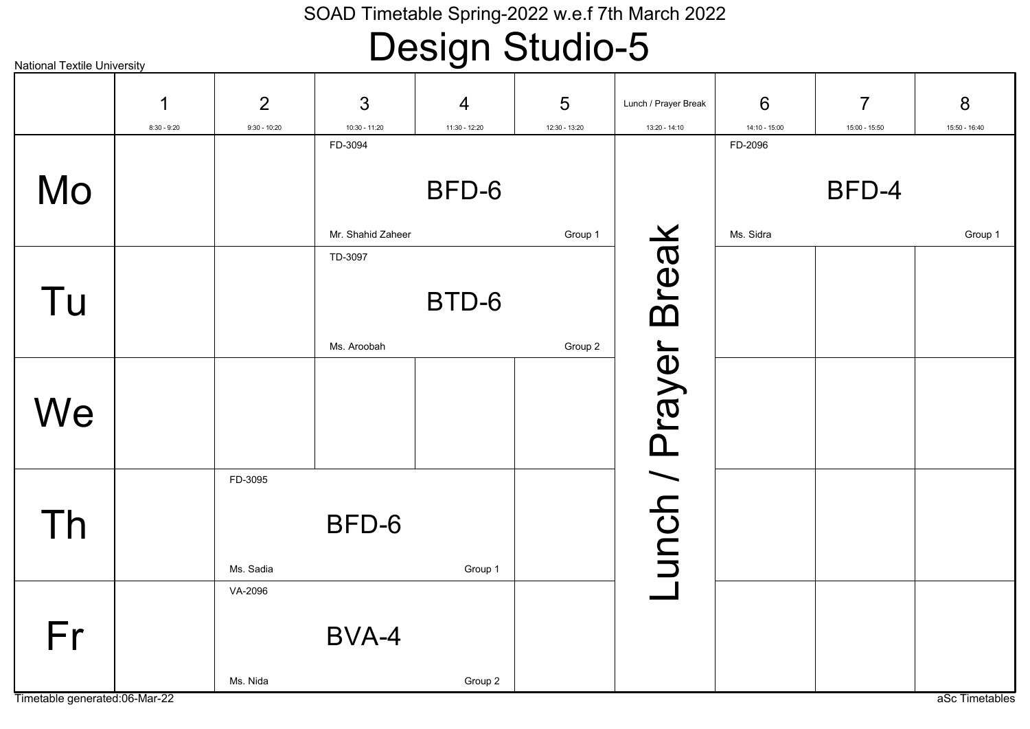| <b>National Textile University</b> |               |                      |                   |                |                |                      |               |                |                |
|------------------------------------|---------------|----------------------|-------------------|----------------|----------------|----------------------|---------------|----------------|----------------|
|                                    | 1             | 2                    | 3                 | $\overline{4}$ | $5\phantom{1}$ | Lunch / Prayer Break | 6             | $\overline{7}$ | 8              |
|                                    | $8:30 - 9:20$ | $9:30 - 10:20$       | $10:30 - 11:20$   | 11:30 - 12:20  | 12:30 - 13:20  | 13:20 - 14:10        | 14:10 - 15:00 | 15:00 - 15:50  | 15:50 - 16:40  |
|                                    |               |                      | FD-3094           |                |                |                      | FD-2096       |                |                |
| Mo                                 |               |                      |                   | BFD-6          |                |                      |               | BFD-4          |                |
|                                    |               |                      | Mr. Shahid Zaheer |                | Group 1        |                      | Ms. Sidra     |                | Group 1        |
| Tu                                 |               |                      | TD-3097           | BTD-6          |                | <b>Break</b>         |               |                |                |
|                                    |               |                      | Ms. Aroobah       |                | Group 2        |                      |               |                |                |
| We                                 |               |                      |                   |                |                |                      |               |                |                |
| Th                                 |               | FD-3095<br>Ms. Sadia | BFD-6             | Group 1        |                | unch / Prayer        |               |                |                |
| Fr                                 |               | VA-2096<br>Ms. Nida  | BVA-4             | Group 2        |                |                      |               |                |                |
| Timetable generated:06-Mar-22      |               |                      |                   |                |                |                      |               |                | aSc Timetables |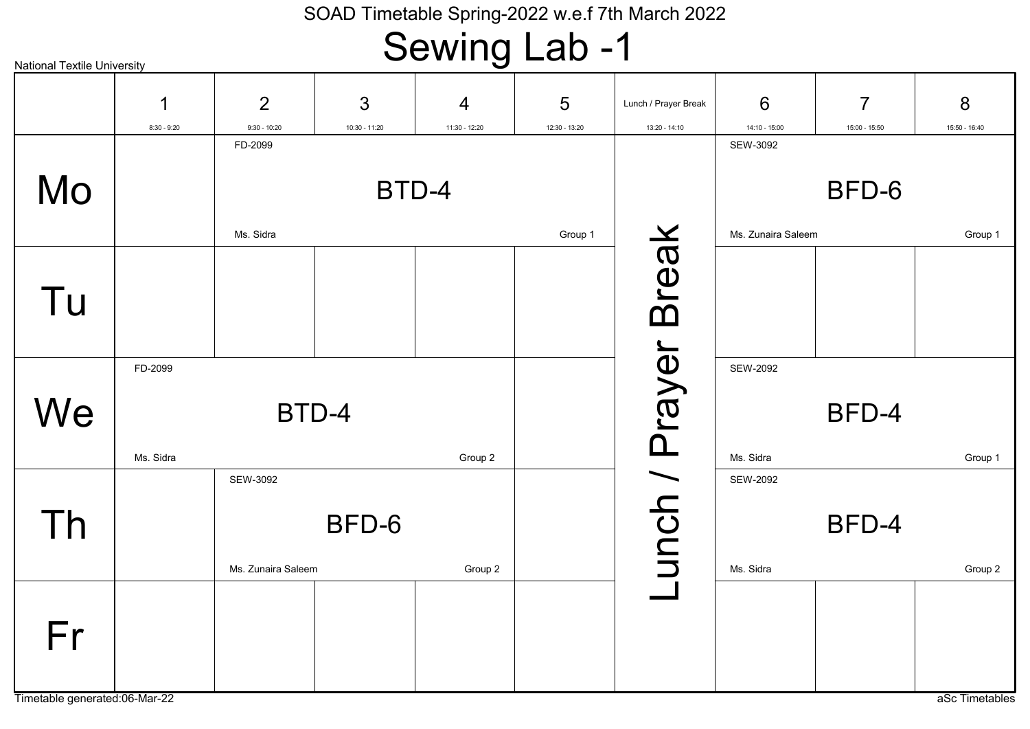### Sewing Lab -1

| <b>National Textile University</b> |               |                    |               |                |               |                      |                    |                |                |
|------------------------------------|---------------|--------------------|---------------|----------------|---------------|----------------------|--------------------|----------------|----------------|
|                                    | 1             | $\overline{2}$     | 3             | $\overline{4}$ | 5             | Lunch / Prayer Break | 6                  | $\overline{7}$ | 8              |
|                                    | $8:30 - 9:20$ | $9:30 - 10:20$     | 10:30 - 11:20 | 11:30 - 12:20  | 12:30 - 13:20 | 13:20 - 14:10        | 14:10 - 15:00      | 15:00 - 15:50  | 15:50 - 16:40  |
|                                    |               | FD-2099            |               |                |               |                      | SEW-3092           |                |                |
| Mo                                 |               |                    |               | BTD-4          |               |                      |                    | BFD-6          |                |
|                                    |               | Ms. Sidra          |               |                | Group 1       |                      | Ms. Zunaira Saleem |                | Group 1        |
|                                    |               |                    |               |                |               | <b>Break</b>         |                    |                |                |
|                                    |               |                    |               |                |               |                      |                    |                |                |
| Tu                                 |               |                    |               |                |               |                      |                    |                |                |
|                                    |               |                    |               |                |               |                      |                    |                |                |
|                                    | FD-2099       |                    |               |                |               |                      | <b>SEW-2092</b>    |                |                |
|                                    |               |                    |               |                |               |                      |                    |                |                |
| We                                 |               | BTD-4              |               |                |               |                      |                    | BFD-4          |                |
|                                    |               |                    |               |                |               |                      |                    |                |                |
|                                    | Ms. Sidra     |                    |               | Group 2        |               |                      | Ms. Sidra          |                | Group 1        |
|                                    |               | SEW-3092           |               |                |               |                      | <b>SEW-2092</b>    |                |                |
|                                    |               |                    | BFD-6         |                |               |                      |                    | BFD-4          |                |
| Th                                 |               |                    |               |                |               |                      |                    |                |                |
|                                    |               | Ms. Zunaira Saleem |               | Group 2        |               | unch / Prayer        | Ms. Sidra          |                | Group 2        |
|                                    |               |                    |               |                |               |                      |                    |                |                |
|                                    |               |                    |               |                |               |                      |                    |                |                |
| Fr                                 |               |                    |               |                |               |                      |                    |                |                |
|                                    |               |                    |               |                |               |                      |                    |                |                |
| Timetable generated:06-Mar-22      |               |                    |               |                |               |                      |                    |                | aSc Timetables |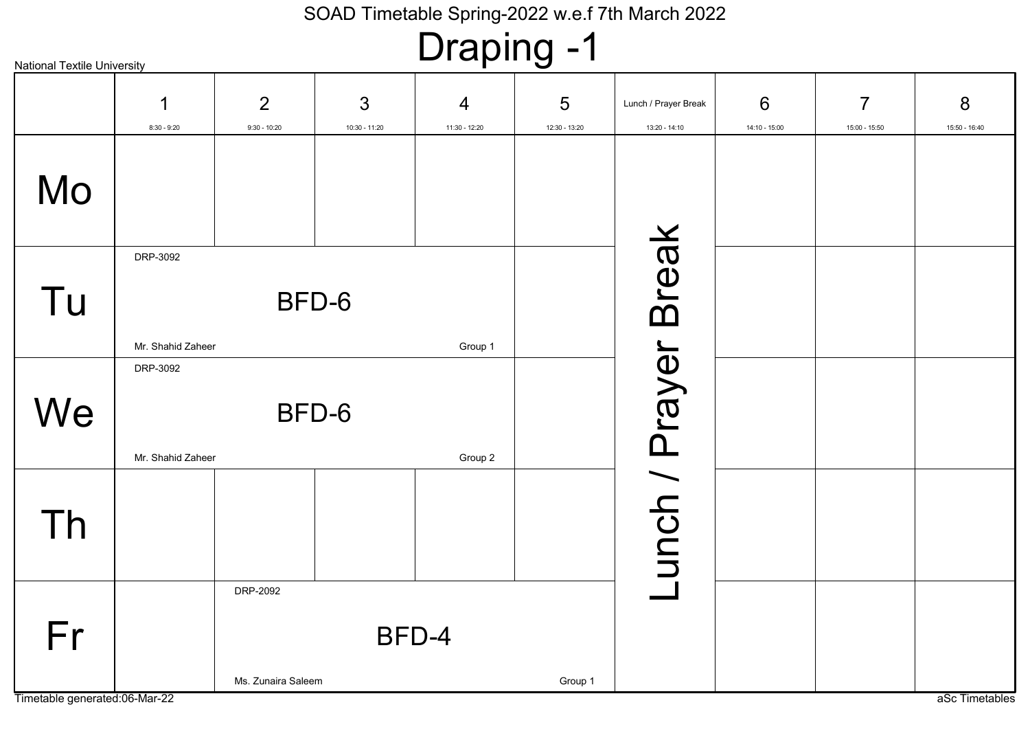# Draping -1

| <b>National Textile University</b> |                               |                                        |                                      |                    |                                       |                               |                                 |                                |
|------------------------------------|-------------------------------|----------------------------------------|--------------------------------------|--------------------|---------------------------------------|-------------------------------|---------------------------------|--------------------------------|
| ↿<br>$8:30 - 9:20$                 | 2<br>$9:30 - 10:20$           | 3<br>10:30 - 11:20                     | 4<br>11:30 - 12:20                   | 5<br>12:30 - 13:20 | Lunch / Prayer Break<br>13:20 - 14:10 | 6<br>14:10 - 15:00            | $\overline{7}$<br>15:00 - 15:50 | 8<br>15:50 - 16:40             |
|                                    |                               |                                        |                                      |                    |                                       |                               |                                 |                                |
| DRP-3092                           |                               |                                        | Group 1                              |                    |                                       |                               |                                 |                                |
| DRP-3092                           |                               |                                        | Group 2                              |                    |                                       |                               |                                 |                                |
|                                    |                               |                                        |                                      |                    |                                       |                               |                                 |                                |
|                                    | DRP-2092                      |                                        |                                      | Group 1            |                                       |                               |                                 | aSc Timetables                 |
|                                    | Timetable generated:06-Mar-22 | Mr. Shahid Zaheer<br>Mr. Shahid Zaheer | BFD-6<br>BFD-6<br>Ms. Zunaira Saleem | BFD-4              |                                       | <b>Break</b><br>unch / Prayer |                                 | п.<br>$\overline{\phantom{a}}$ |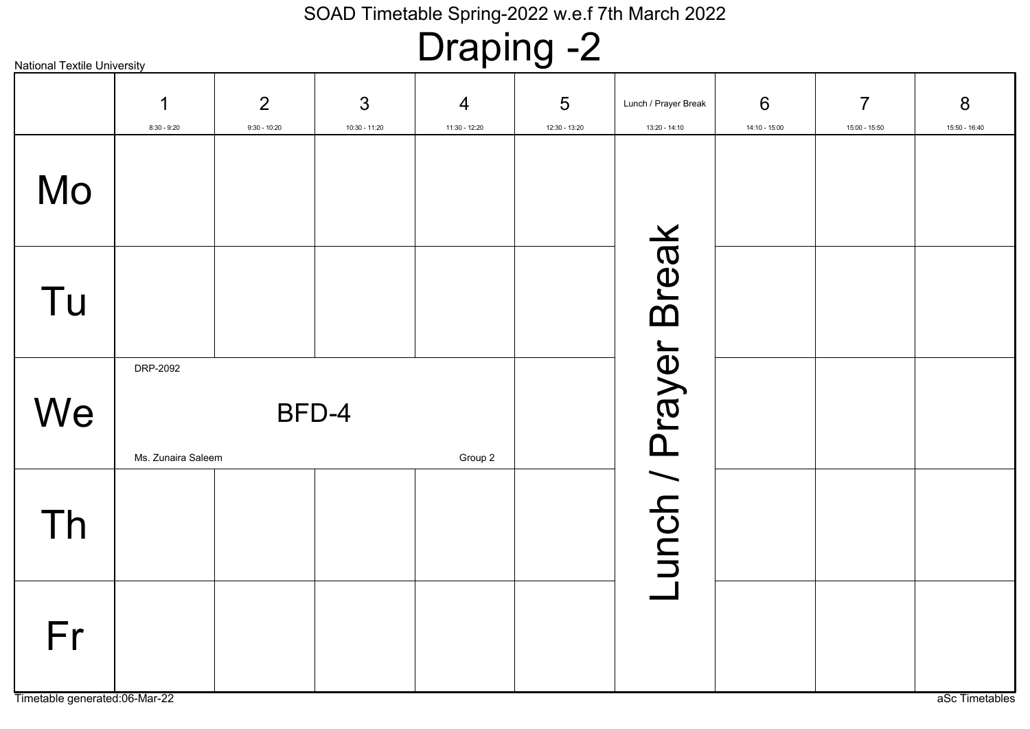# Draping -2

| 1<br>$8:30 - 9:20$ | 2<br>$9:30 - 10:20$           | 3<br>$10:30 - 11:20$ | $\overline{4}$<br>11:30 - 12:20 | $5\phantom{1}$<br>12:30 - 13:20 | Lunch / Prayer Break<br>13:20 - 14:10 | 6<br>14:10 - 15:00  | $\overline{7}$<br>15:00 - 15:50 | 8<br>15:50 - 16:40 |
|--------------------|-------------------------------|----------------------|---------------------------------|---------------------------------|---------------------------------------|---------------------|---------------------------------|--------------------|
|                    |                               |                      |                                 |                                 |                                       |                     |                                 |                    |
|                    |                               |                      |                                 |                                 |                                       |                     |                                 |                    |
| DRP-2092           |                               |                      | Group 2                         |                                 |                                       |                     |                                 |                    |
|                    |                               |                      |                                 |                                 |                                       |                     |                                 |                    |
|                    |                               |                      |                                 |                                 |                                       |                     |                                 | aSc Timetables     |
|                    | Timetable generated:06-Mar-22 | Ms. Zunaira Saleem   | BFD-4                           |                                 |                                       | unch / Prayer Break |                                 |                    |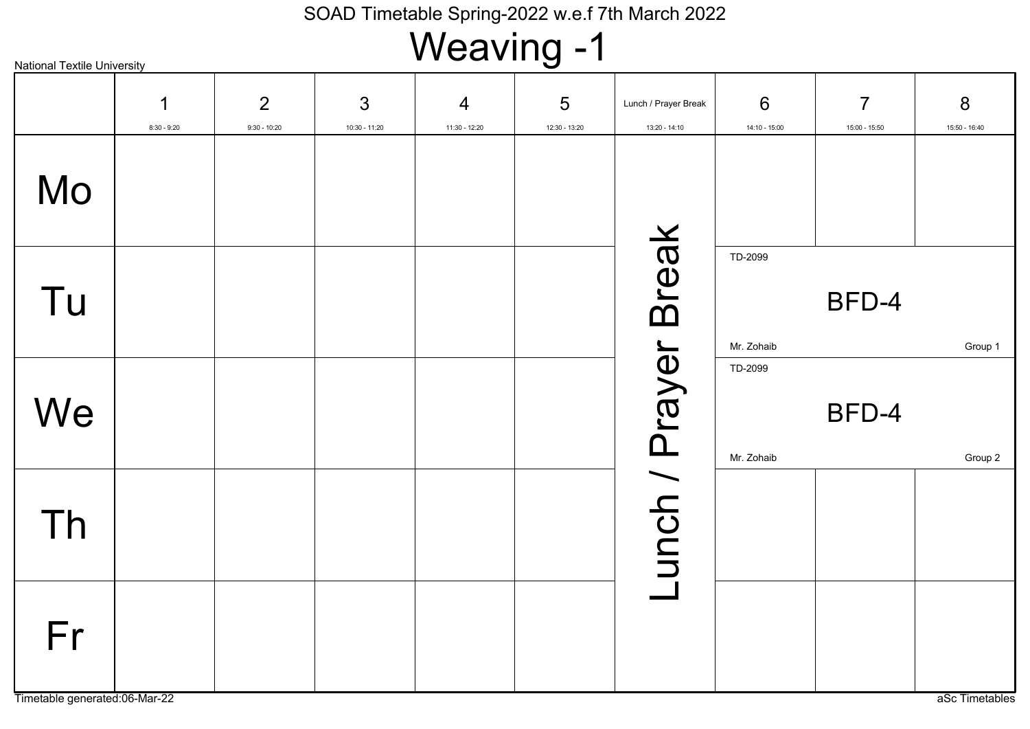# Weaving -1

| <b>National Textile University</b>  |                    |                                  |                      | . 9                             |                                  |                                       |                                    |                                 |                    |
|-------------------------------------|--------------------|----------------------------------|----------------------|---------------------------------|----------------------------------|---------------------------------------|------------------------------------|---------------------------------|--------------------|
|                                     | 1<br>$8:30 - 9:20$ | $\overline{2}$<br>$9:30 - 10:20$ | 3<br>$10:30 - 11:20$ | $\overline{4}$<br>11:30 - 12:20 | $5\phantom{.0}$<br>12:30 - 13:20 | Lunch / Prayer Break<br>13:20 - 14:10 | $6\phantom{1}6$<br>$14:10 - 15:00$ | $\overline{7}$<br>15:00 - 15:50 | 8<br>15:50 - 16:40 |
| Mo                                  |                    |                                  |                      |                                 |                                  |                                       |                                    |                                 |                    |
| Tu                                  |                    |                                  |                      |                                 |                                  | Break                                 | TD-2099<br>Mr. Zohaib              | BFD-4                           | Group 1            |
| We                                  |                    |                                  |                      |                                 |                                  |                                       | TD-2099<br>Mr. Zohaib              | BFD-4                           | Group 2            |
| Th                                  |                    |                                  |                      |                                 |                                  | unch / Prayer                         |                                    |                                 |                    |
| Fr<br>Timetable generated:06-Mar-22 |                    |                                  |                      |                                 |                                  |                                       |                                    |                                 |                    |
|                                     |                    |                                  |                      |                                 |                                  |                                       |                                    |                                 | aSc Timetables     |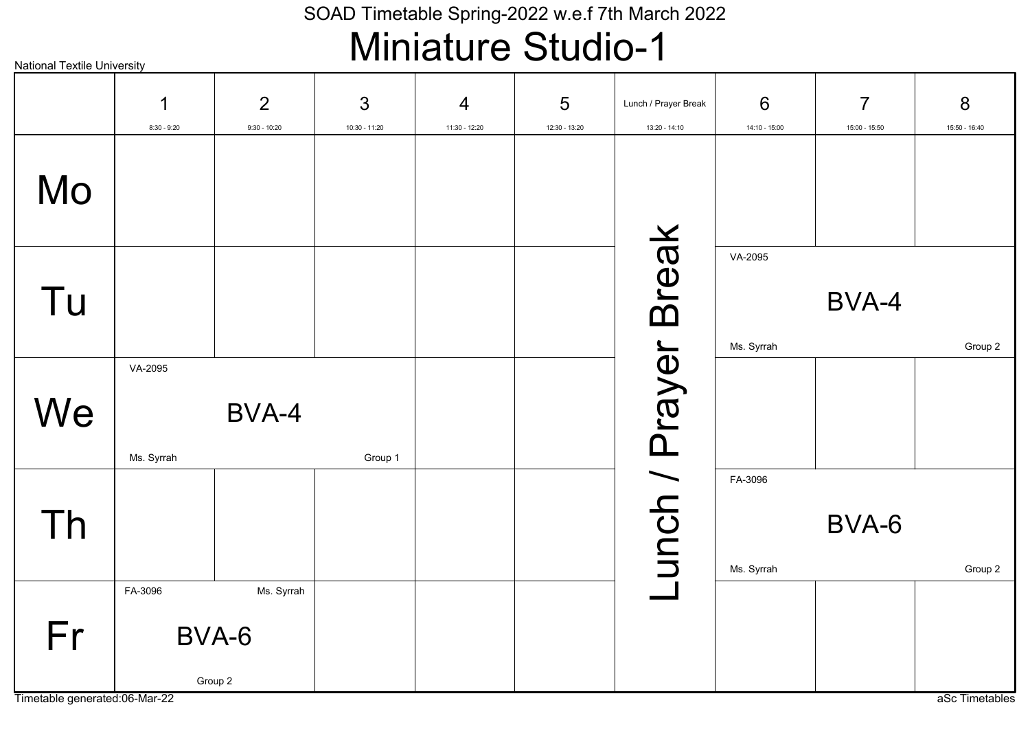### Miniature Studio-1

#### 2 3 5 6 7 8 1 4 Lunch / Prayer Break 8:30 - 9:20 9:30 - 10:20 10:30 - 11:20 11:30 - 12:20 12:30 - 13:20 13:20 - 14:10 14:10 - 15:00 15:00 - 15:50 15:50 - 16:40 Mo unch / Prayer Break Lunch / Prayer Break VA-2095 Tu BVA-4 Ms. Syrrah Group 2 VA-2095 **We** BVA-4 Ms. Syrrah Group 1 FA-3096 Th BVA-6 Ms. Syrrah Group 2 FA-3096 Ms. Syrrah Fr BVA-6 Group 2

Timetable generated:06-Mar-22 as a Sc Timetables

National Textile University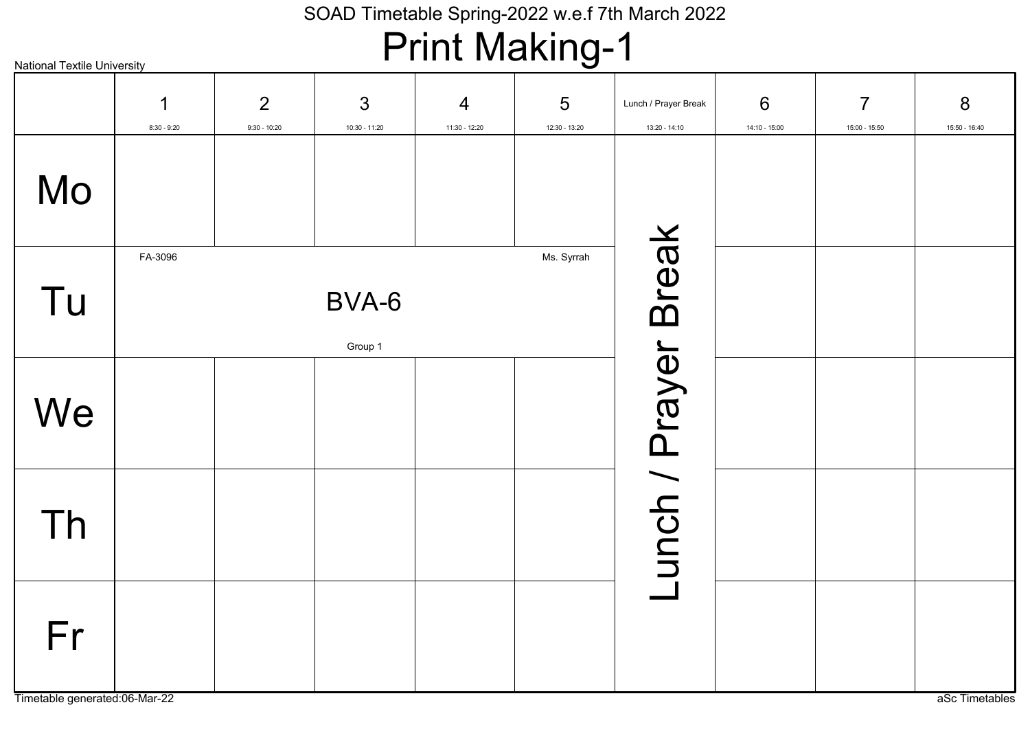### Print Making-1

| <b>National Textile University</b>  |                    |                     |                      | . 9                |                                  | . .                                   |                      |                                 |                    |
|-------------------------------------|--------------------|---------------------|----------------------|--------------------|----------------------------------|---------------------------------------|----------------------|---------------------------------|--------------------|
|                                     | ◀<br>$8:30 - 9:20$ | 2<br>$9:30 - 10:20$ | 3<br>$10:30 - 11:20$ | 4<br>11:30 - 12:20 | $5\phantom{.0}$<br>12:30 - 13:20 | Lunch / Prayer Break<br>13:20 - 14:10 | 6<br>$14:10 - 15:00$ | $\overline{7}$<br>15:00 - 15:50 | 8<br>15:50 - 16:40 |
| Mo                                  |                    |                     |                      |                    |                                  |                                       |                      |                                 |                    |
| Tu                                  | FA-3096            |                     | BVA-6<br>Group 1     |                    | Ms. Syrrah                       | unch / Prayer Break                   |                      |                                 |                    |
| We                                  |                    |                     |                      |                    |                                  |                                       |                      |                                 |                    |
| Th                                  |                    |                     |                      |                    |                                  |                                       |                      |                                 |                    |
| Fr<br>Timetable generated:06-Mar-22 |                    |                     |                      |                    |                                  |                                       |                      |                                 | aSc Timetables     |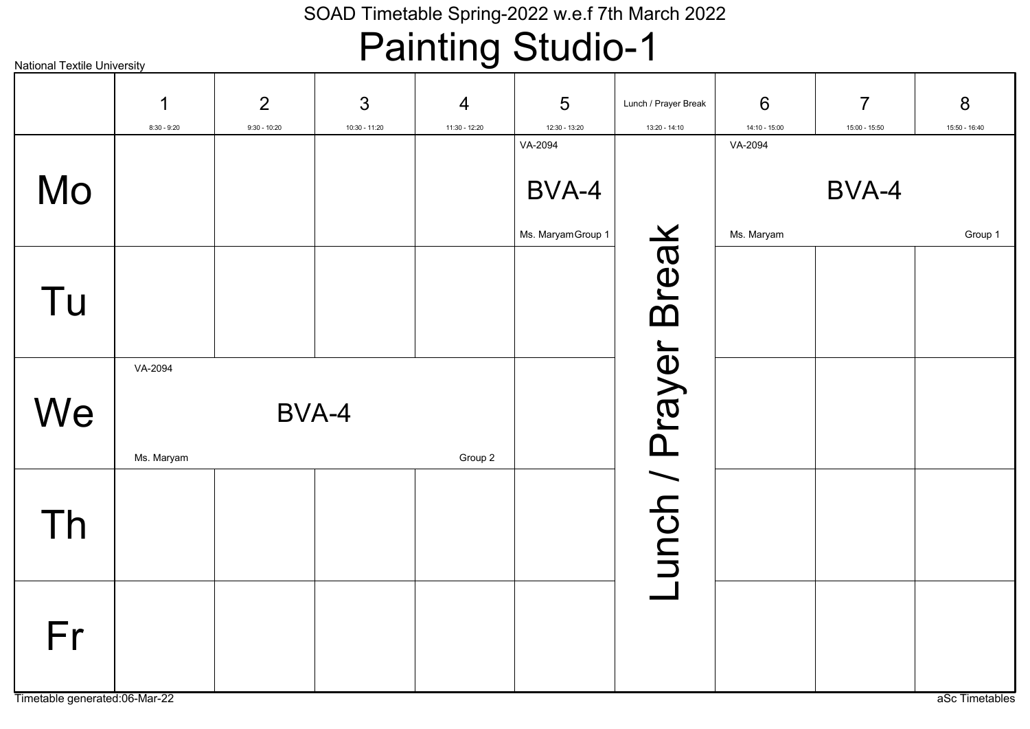# Painting Studio-1

| <b>National Textile University</b>  |                       |                                  |                      | ----<br>J                       |                             |                                       |                      |                                 |                    |
|-------------------------------------|-----------------------|----------------------------------|----------------------|---------------------------------|-----------------------------|---------------------------------------|----------------------|---------------------------------|--------------------|
|                                     | 1<br>$8:30 - 9:20$    | $\overline{2}$<br>$9:30 - 10:20$ | 3<br>$10:30 - 11:20$ | $\overline{4}$<br>11:30 - 12:20 | 5<br>12:30 - 13:20          | Lunch / Prayer Break<br>13:20 - 14:10 | 6<br>$14:10 - 15:00$ | $\overline{7}$<br>15:00 - 15:50 | 8<br>15:50 - 16:40 |
|                                     |                       |                                  |                      |                                 | VA-2094                     |                                       | VA-2094              |                                 |                    |
| Mo                                  |                       |                                  |                      |                                 | BVA-4<br>Ms. Maryam Group 1 |                                       | Ms. Maryam           | BVA-4                           | Group 1            |
| Tu                                  |                       |                                  |                      |                                 |                             | unch / Prayer Break                   |                      |                                 |                    |
| We                                  | VA-2094<br>Ms. Maryam | BVA-4                            |                      | Group 2                         |                             |                                       |                      |                                 |                    |
| Th                                  |                       |                                  |                      |                                 |                             |                                       |                      |                                 |                    |
| Fr<br>Timetable generated:06-Mar-22 |                       |                                  |                      |                                 |                             |                                       |                      |                                 | aSc Timetables     |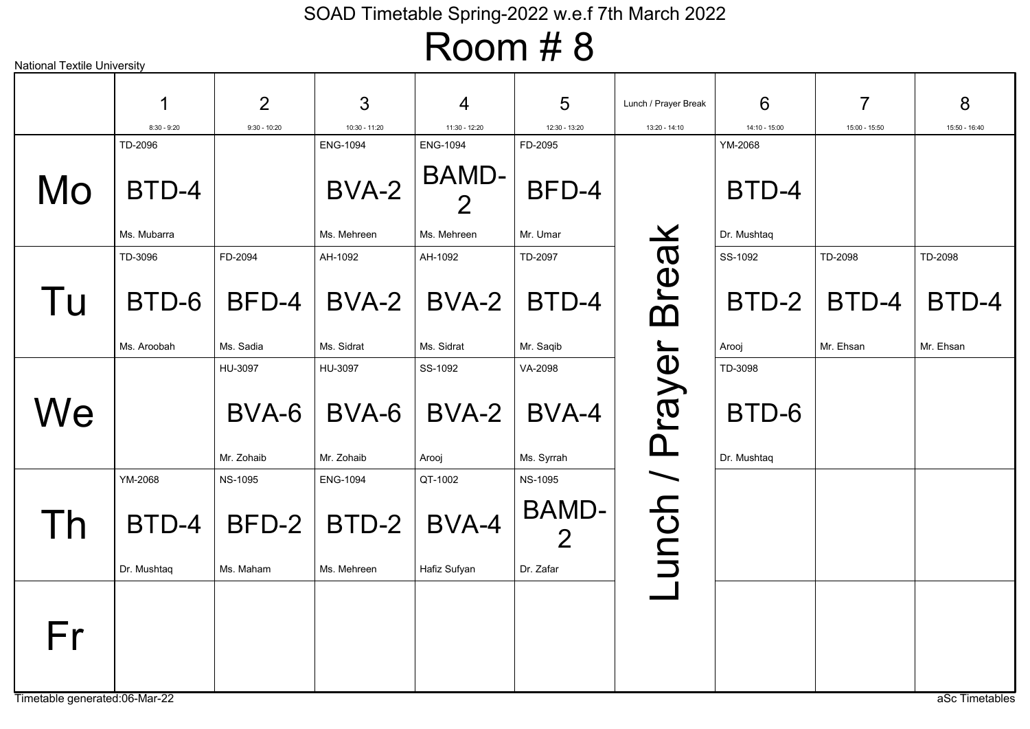| <b>National Textile University</b>  |                                 |                                |                                         |                                                           |                                             |                      |                                 |                               |                               |
|-------------------------------------|---------------------------------|--------------------------------|-----------------------------------------|-----------------------------------------------------------|---------------------------------------------|----------------------|---------------------------------|-------------------------------|-------------------------------|
|                                     |                                 | $\overline{2}$                 | 3                                       | 4                                                         | 5                                           | Lunch / Prayer Break | 6                               | 7                             | 8                             |
|                                     | $8:30 - 9:20$                   | $9:30 - 10:20$                 | 10:30 - 11:20                           | 11:30 - 12:20                                             | 12:30 - 13:20                               | 13:20 - 14:10        | 14:10 - 15:00                   | 15:00 - 15:50                 | 15:50 - 16:40                 |
| Mo                                  | TD-2096<br>BTD-4<br>Ms. Mubarra |                                | <b>ENG-1094</b><br>BVA-2<br>Ms. Mehreen | <b>ENG-1094</b><br>BAMD-<br>$\overline{2}$<br>Ms. Mehreen | FD-2095<br>BFD-4<br>Mr. Umar                |                      | YM-2068<br>BTD-4<br>Dr. Mushtaq |                               |                               |
|                                     |                                 |                                |                                         |                                                           |                                             |                      |                                 |                               |                               |
| Tu                                  | TD-3096<br>BTD-6<br>Ms. Aroobah | FD-2094<br>BFD-4<br>Ms. Sadia  | AH-1092<br>BVA-2<br>Ms. Sidrat          | AH-1092<br>BVA-2<br>Ms. Sidrat                            | TD-2097<br>BTD-4<br>Mr. Saqib               | <b>Break</b>         | SS-1092<br>BTD-2<br>Arooj       | TD-2098<br>BTD-4<br>Mr. Ehsan | TD-2098<br>BTD-4<br>Mr. Ehsan |
|                                     |                                 |                                |                                         |                                                           |                                             |                      |                                 |                               |                               |
| We                                  |                                 | HU-3097<br>BVA-6<br>Mr. Zohaib | HU-3097<br>BVA-6<br>Mr. Zohaib          | SS-1092<br>BVA-2<br>Arooj                                 | VA-2098<br>BVA-4<br>Ms. Syrrah              | unch / Prayer        | TD-3098<br>BTD-6<br>Dr. Mushtaq |                               |                               |
|                                     | YM-2068                         | <b>NS-1095</b>                 | <b>ENG-1094</b>                         | QT-1002                                                   | <b>NS-1095</b>                              |                      |                                 |                               |                               |
| $\mathsf{I}$                        | BTD-4<br>Dr. Mushtaq            | BFD-2<br>Ms. Maham             | BTD-2<br>Ms. Mehreen                    | BVA-4<br>Hafiz Sufyan                                     | <b>BAMD-</b><br>$\overline{2}$<br>Dr. Zafar |                      |                                 |                               |                               |
|                                     |                                 |                                |                                         |                                                           |                                             |                      |                                 |                               |                               |
| Fr<br>Timetable generated:06-Mar-22 |                                 |                                |                                         |                                                           |                                             |                      |                                 |                               | aSc Timetables                |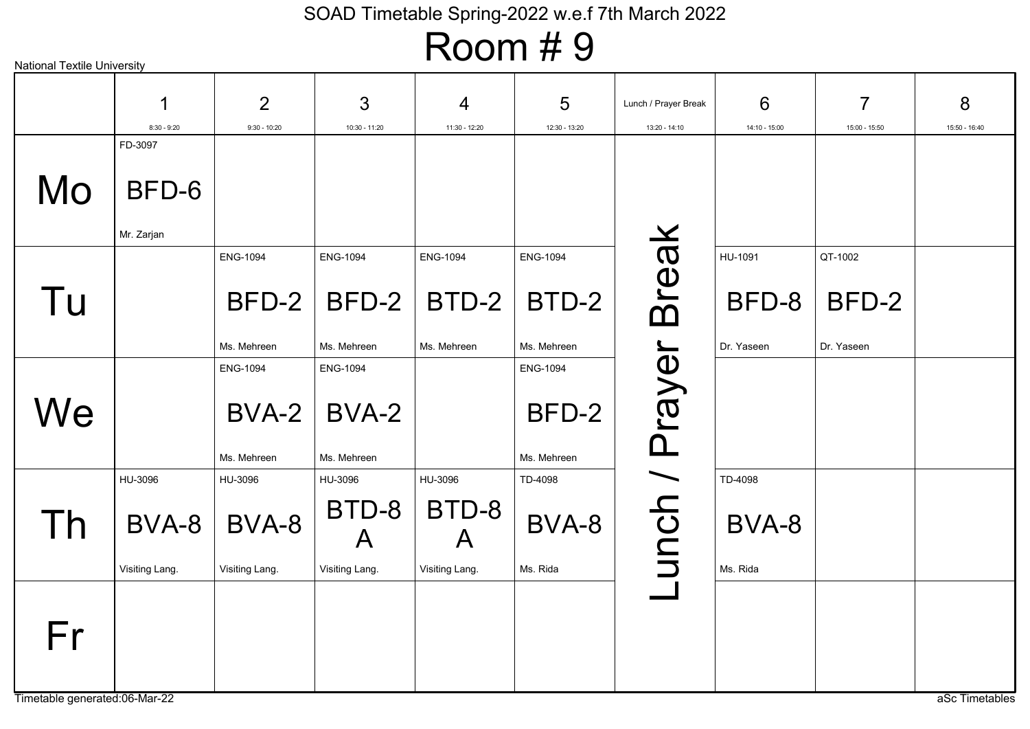### Room # 9

|                                     | 1              | $\overline{2}$  | 3                     | 4                     | 5               | Lunch / Prayer Break | 6             | $\overline{7}$ | 8              |
|-------------------------------------|----------------|-----------------|-----------------------|-----------------------|-----------------|----------------------|---------------|----------------|----------------|
|                                     | $8:30 - 9:20$  | $9:30 - 10:20$  | 10:30 - 11:20         | 11:30 - 12:20         | 12:30 - 13:20   | 13:20 - 14:10        | 14:10 - 15:00 | 15:00 - 15:50  | 15:50 - 16:40  |
|                                     | FD-3097        |                 |                       |                       |                 |                      |               |                |                |
| Mo                                  | BFD-6          |                 |                       |                       |                 |                      |               |                |                |
|                                     | Mr. Zarjan     |                 |                       |                       |                 |                      |               |                |                |
|                                     |                | <b>ENG-1094</b> | <b>ENG-1094</b>       | <b>ENG-1094</b>       | <b>ENG-1094</b> |                      | HU-1091       | QT-1002        |                |
| Tu                                  |                | BFD-2           | BFD-2                 | BTD-2                 | BTD-2           | <b>Break</b>         | BFD-8         | BFD-2          |                |
|                                     |                | Ms. Mehreen     | Ms. Mehreen           | Ms. Mehreen           | Ms. Mehreen     |                      | Dr. Yaseen    | Dr. Yaseen     |                |
|                                     |                | <b>ENG-1094</b> | <b>ENG-1094</b>       |                       | <b>ENG-1094</b> |                      |               |                |                |
| We                                  |                | BVA-2           | BVA-2                 |                       | BFD-2           |                      |               |                |                |
|                                     |                | Ms. Mehreen     | Ms. Mehreen           |                       | Ms. Mehreen     |                      |               |                |                |
|                                     | HU-3096        | HU-3096         | HU-3096               | HU-3096               | TD-4098         |                      | TD-4098       |                |                |
| Th                                  | BVA-8          | BVA-8           | BTD-8<br>$\mathsf{A}$ | BTD-8<br>$\mathsf{A}$ | BVA-8           | unch / Prayer        | BVA-8         |                |                |
|                                     | Visiting Lang. | Visiting Lang.  | Visiting Lang.        | Visiting Lang.        | Ms. Rida        |                      | Ms. Rida      |                |                |
| Fr<br>Timetable generated:06-Mar-22 |                |                 |                       |                       |                 |                      |               |                | aSc Timetables |

National Textile University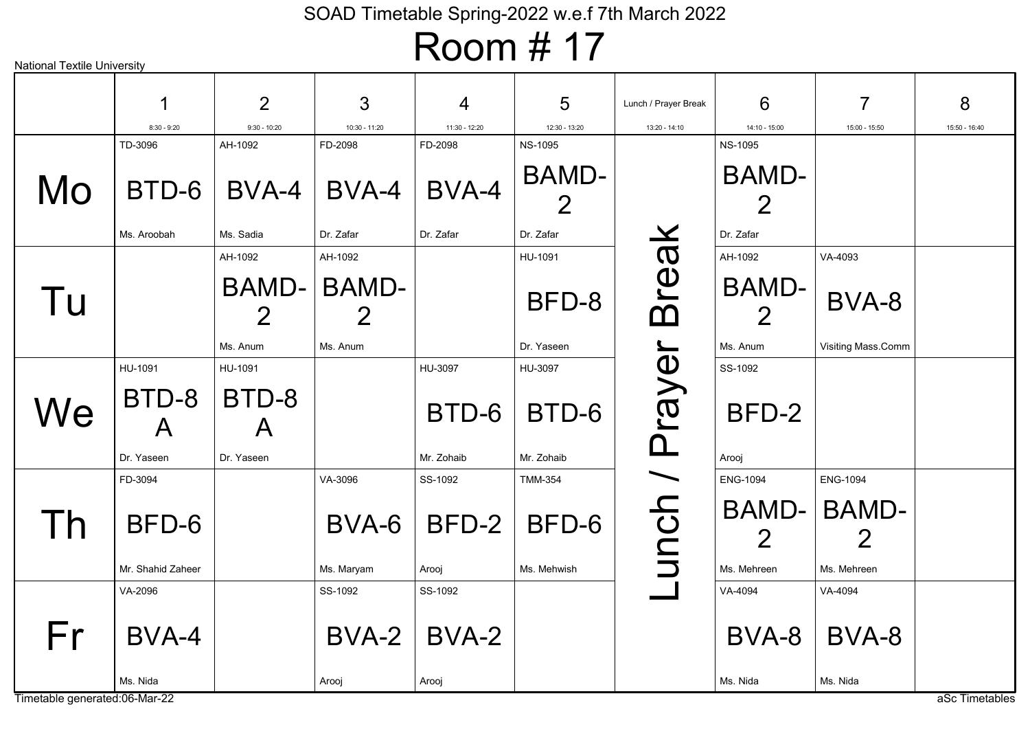| <b>National Textile University</b>  |                                                |                                                |                                     |                                |                                             |                      |                                              |                                                     |                |
|-------------------------------------|------------------------------------------------|------------------------------------------------|-------------------------------------|--------------------------------|---------------------------------------------|----------------------|----------------------------------------------|-----------------------------------------------------|----------------|
|                                     |                                                | $\overline{2}$                                 | 3                                   | 4                              | 5                                           | Lunch / Prayer Break | 6                                            | 7                                                   | 8              |
|                                     | $8:30 - 9:20$                                  | $9:30 - 10:20$                                 | 10:30 - 11:20                       | 11:30 - 12:20                  | 12:30 - 13:20                               | 13:20 - 14:10        | 14:10 - 15:00                                | 15:00 - 15:50                                       | 15:50 - 16:40  |
| Mo                                  | TD-3096<br>BTD-6<br>Ms. Aroobah                | AH-1092<br>BVA-4<br>Ms. Sadia                  | FD-2098<br>BVA-4<br>Dr. Zafar       | FD-2098<br>BVA-4<br>Dr. Zafar  | <b>NS-1095</b><br><b>BAMD-</b><br>Dr. Zafar |                      | <b>NS-1095</b><br><b>BAMD-</b><br>Dr. Zafar  |                                                     |                |
| Tu                                  |                                                | AH-1092<br>BAMD-<br>$\overline{2}$<br>Ms. Anum | AH-1092<br><b>BAMD-</b><br>Ms. Anum |                                | HU-1091<br>BFD-8<br>Dr. Yaseen              | Breal                | AH-1092<br>BAMD-<br>Ms. Anum                 | VA-4093<br>BVA-8<br>Visiting Mass.Comm              |                |
| We                                  | HU-1091<br>BTD-8<br>$\mathsf{A}$<br>Dr. Yaseen | HU-1091<br>BTD-8<br>$\mathsf{A}$<br>Dr. Yaseen |                                     | HU-3097<br>BTD-6<br>Mr. Zohaib | HU-3097<br>BTD-6<br>Mr. Zohaib              | unch / Prayer        | SS-1092<br>BFD-2<br>Arooj                    |                                                     |                |
| I h                                 | FD-3094<br>BFD-6<br>Mr. Shahid Zaheer          |                                                | VA-3096<br>BVA-6<br>Ms. Maryam      | SS-1092<br>BFD-2<br>Arooj      | <b>TMM-354</b><br>BFD-6<br>Ms. Mehwish      |                      | <b>ENG-1094</b><br>BAMD-<br>2<br>Ms. Mehreen | <b>ENG-1094</b><br><b>BAMD-</b><br>2<br>Ms. Mehreen |                |
| Fr<br>Timetable generated:06-Mar-22 | VA-2096<br>BVA-4<br>Ms. Nida                   |                                                | SS-1092<br>$BVA-2$<br>Arooj         | SS-1092<br>BVA-2<br>Arooj      |                                             |                      | VA-4094<br>BVA-8<br>Ms. Nida                 | VA-4094<br>BVA-8<br>Ms. Nida                        | aSc Timetables |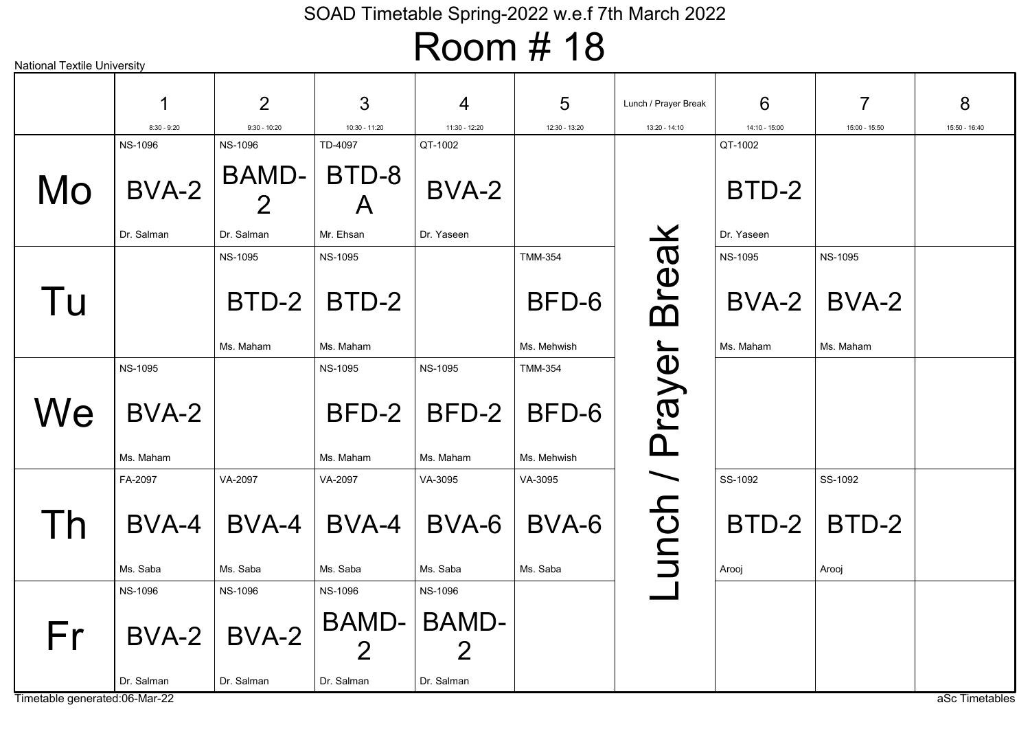| <b>National Textile University</b> |                    |                         |                       |                                      |                      |                      |                |                |                |
|------------------------------------|--------------------|-------------------------|-----------------------|--------------------------------------|----------------------|----------------------|----------------|----------------|----------------|
|                                    |                    |                         |                       |                                      |                      |                      |                |                |                |
|                                    |                    | $\overline{2}$          | 3                     | 4                                    | 5                    | Lunch / Prayer Break | 6              | 7              | 8              |
|                                    | $8:30 - 9:20$      | $9:30 - 10:20$          | 10:30 - 11:20         | 11:30 - 12:20                        | 12:30 - 13:20        | 13:20 - 14:10        | 14:10 - 15:00  | 15:00 - 15:50  | 15:50 - 16:40  |
|                                    | <b>NS-1096</b>     | <b>NS-1096</b>          | TD-4097               | QT-1002                              |                      |                      | QT-1002        |                |                |
| Mo                                 | BVA-2              | BAMD-<br>$\overline{2}$ | BTD-8<br>$\mathsf{A}$ | BVA-2                                |                      |                      | BTD-2          |                |                |
|                                    | Dr. Salman         | Dr. Salman              | Mr. Ehsan             | Dr. Yaseen                           |                      |                      | Dr. Yaseen     |                |                |
|                                    |                    | <b>NS-1095</b>          | <b>NS-1095</b>        |                                      | <b>TMM-354</b>       |                      | <b>NS-1095</b> | <b>NS-1095</b> |                |
| Tu                                 |                    | BTD-2                   | BTD-2                 |                                      | BFD-6                | Break                | BVA-2          | BVA-2          |                |
|                                    |                    | Ms. Maham               | Ms. Maham             |                                      | Ms. Mehwish          |                      | Ms. Maham      | Ms. Maham      |                |
|                                    | <b>NS-1095</b>     |                         | <b>NS-1095</b>        | <b>NS-1095</b>                       | <b>TMM-354</b>       |                      |                |                |                |
| We                                 | BVA-2<br>Ms. Maham |                         | BFD-2<br>Ms. Maham    | BFD-2<br>Ms. Maham                   | BFD-6<br>Ms. Mehwish | Prayer               |                |                |                |
|                                    |                    |                         |                       |                                      |                      |                      | SS-1092        | SS-1092        |                |
|                                    | FA-2097            | VA-2097                 | VA-2097               | VA-3095                              | VA-3095              |                      |                |                |                |
| $\mathsf{I}$                       | BVA-4              | BVA-4                   | BVA-4                 | BVA-6                                | BVA-6                | unch /               | BTD-2          | BTD-2          |                |
|                                    | Ms. Saba           | Ms. Saba                | Ms. Saba              | Ms. Saba                             | Ms. Saba             |                      | Arooj          | Arooj          |                |
|                                    | <b>NS-1096</b>     | <b>NS-1096</b>          | <b>NS-1096</b>        | <b>NS-1096</b>                       |                      |                      |                |                |                |
| Fr                                 |                    | $BVA-2$ BVA-2           | $\overline{2}$        | <b>BAMD- BAMD-</b><br>$\overline{2}$ |                      |                      |                |                |                |
| Timetable generated:06-Mar-22      | Dr. Salman         | Dr. Salman              | Dr. Salman            | Dr. Salman                           |                      |                      |                |                | aSc Timetables |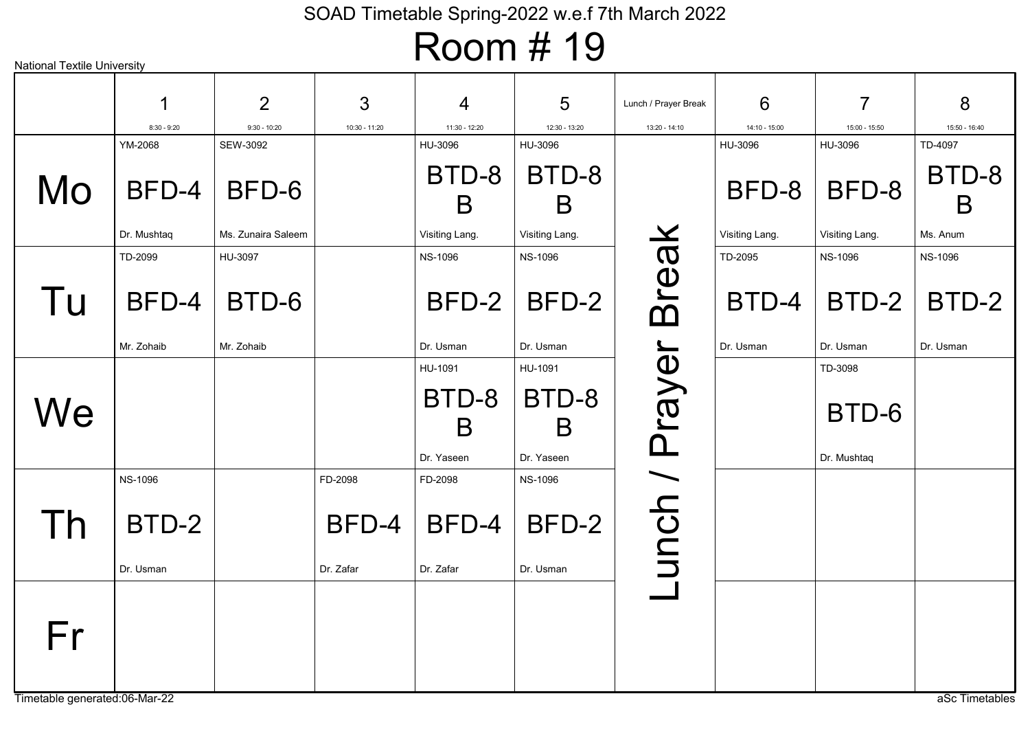| <b>National Textile University</b> |                                                                                      |                                          |                              |                                                               |                                                               |                                                |                                       |                                                  |
|------------------------------------|--------------------------------------------------------------------------------------|------------------------------------------|------------------------------|---------------------------------------------------------------|---------------------------------------------------------------|------------------------------------------------|---------------------------------------|--------------------------------------------------|
|                                    | 2                                                                                    | 3                                        | 4                            | $5\phantom{1}$                                                | Lunch / Prayer Break                                          | 6                                              | $\overline{7}$                        | 8<br>15:50 - 16:40                               |
|                                    |                                                                                      |                                          |                              |                                                               |                                                               |                                                |                                       | TD-4097                                          |
| BFD-4<br>Dr. Mushtaq               | BFD-6<br>Ms. Zunaira Saleem                                                          |                                          | BTD-8<br>B<br>Visiting Lang. | BTD-8<br>B<br>Visiting Lang.                                  |                                                               | BFD-8<br>Visiting Lang.                        | BFD-8<br>Visiting Lang.               | BTD-8<br>B<br>Ms. Anum                           |
| TD-2099                            | HU-3097                                                                              |                                          | <b>NS-1096</b>               | <b>NS-1096</b>                                                |                                                               | TD-2095                                        | <b>NS-1096</b>                        | <b>NS-1096</b>                                   |
| BFD-4                              | BTD-6                                                                                |                                          | BFD-2                        | BFD-2                                                         |                                                               | BTD-4                                          | BTD-2                                 | BTD-2                                            |
|                                    |                                                                                      |                                          |                              |                                                               |                                                               |                                                |                                       | Dr. Usman                                        |
|                                    |                                                                                      |                                          | BTD-8<br>B<br>Dr. Yaseen     | BTD-8<br>B<br>Dr. Yaseen                                      |                                                               |                                                | BTD-6<br>Dr. Mushtaq                  |                                                  |
| <b>NS-1096</b>                     |                                                                                      | FD-2098                                  | FD-2098                      | <b>NS-1096</b>                                                |                                                               |                                                |                                       |                                                  |
| BTD-2                              |                                                                                      | BFD-4                                    | BFD-4                        | BFD-2                                                         |                                                               |                                                |                                       |                                                  |
|                                    |                                                                                      |                                          |                              |                                                               |                                                               |                                                |                                       |                                                  |
|                                    |                                                                                      |                                          |                              |                                                               |                                                               |                                                |                                       | aSc Timetables                                   |
|                                    | $8:30 - 9:20$<br>YM-2068<br>Mr. Zohaib<br>Dr. Usman<br>Timetable generated:06-Mar-22 | $9:30 - 10:20$<br>SEW-3092<br>Mr. Zohaib | 10:30 - 11:20<br>Dr. Zafar   | 11:30 - 12:20<br>HU-3096<br>Dr. Usman<br>HU-1091<br>Dr. Zafar | 12:30 - 13:20<br>HU-3096<br>Dr. Usman<br>HU-1091<br>Dr. Usman | 13:20 - 14:10<br><b>Break</b><br>unch / Prayer | 14:10 - 15:00<br>HU-3096<br>Dr. Usman | 15:00 - 15:50<br>HU-3096<br>Dr. Usman<br>TD-3098 |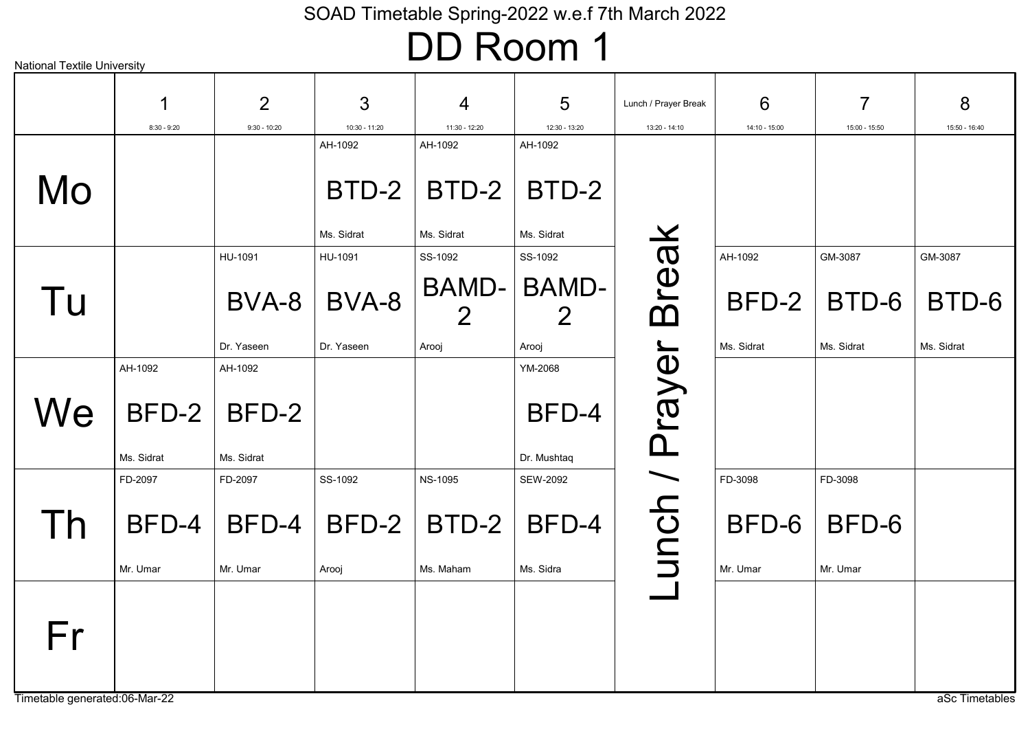### DD Room 1

| <b>National Textile University</b> |               |                |                     |                         |                     |                      |               |                |                |
|------------------------------------|---------------|----------------|---------------------|-------------------------|---------------------|----------------------|---------------|----------------|----------------|
|                                    | 1             | $\overline{2}$ | 3                   | $\overline{4}$          | $5\phantom{1}$      | Lunch / Prayer Break | 6             | $\overline{7}$ | 8              |
|                                    | $8:30 - 9:20$ | $9:30 - 10:20$ | 10:30 - 11:20       | 11:30 - 12:20           | 12:30 - 13:20       | 13:20 - 14:10        | 14:10 - 15:00 | 15:00 - 15:50  | 15:50 - 16:40  |
|                                    |               |                | AH-1092             | AH-1092                 | AH-1092             |                      |               |                |                |
| Mo                                 |               |                | BTD-2<br>Ms. Sidrat | BTD-2<br>Ms. Sidrat     | BTD-2<br>Ms. Sidrat |                      |               |                |                |
|                                    |               | HU-1091        | HU-1091             | SS-1092                 | SS-1092             |                      | AH-1092       | GM-3087        | GM-3087        |
| Tu                                 |               | BVA-8          | BVA-8               | BAMD-<br>$\overline{2}$ | <b>BAMD-</b>        | <b>Break</b>         | BFD-2         | BTD-6          | BTD-6          |
|                                    |               | Dr. Yaseen     | Dr. Yaseen          | Arooj                   | Arooj               |                      | Ms. Sidrat    | Ms. Sidrat     | Ms. Sidrat     |
|                                    | AH-1092       | AH-1092        |                     |                         | YM-2068             |                      |               |                |                |
| We                                 | BFD-2         | BFD-2          |                     |                         | BFD-4               | Prayer               |               |                |                |
|                                    | Ms. Sidrat    | Ms. Sidrat     |                     |                         | Dr. Mushtaq         |                      |               |                |                |
|                                    | FD-2097       | FD-2097        | SS-1092             | <b>NS-1095</b>          | SEW-2092            |                      | FD-3098       | FD-3098        |                |
| $\overline{\phantom{a}}$           | BFD-4         | BFD-4          | BFD-2               | BTD-2                   | BFD-4               | unch /               | BFD-6         | BFD-6          |                |
|                                    | Mr. Umar      | Mr. Umar       | Arooj               | Ms. Maham               | Ms. Sidra           |                      | Mr. Umar      | Mr. Umar       |                |
| Fr                                 |               |                |                     |                         |                     |                      |               |                |                |
| Timetable generated:06-Mar-22      |               |                |                     |                         |                     |                      |               |                | aSc Timetables |